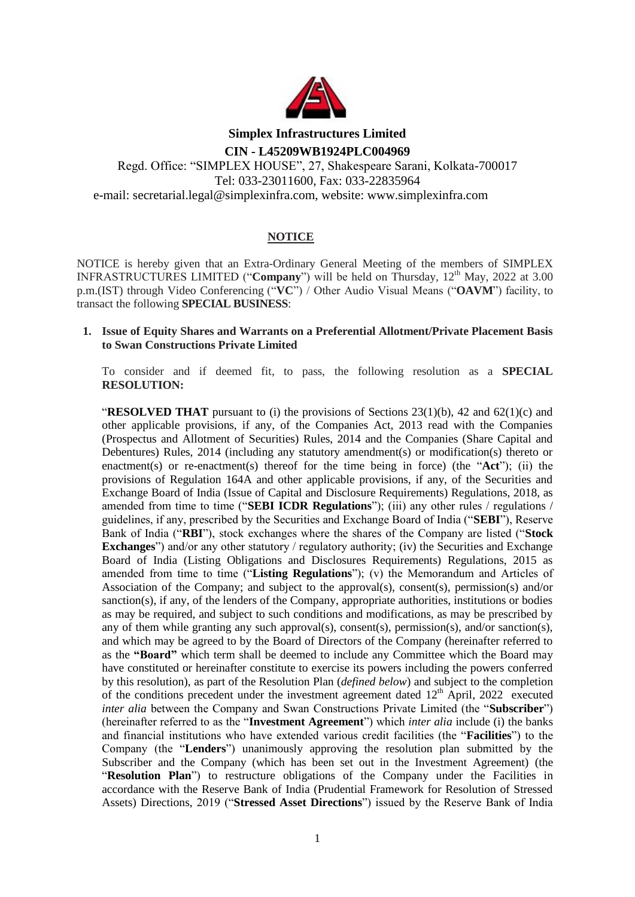

# **Simplex Infrastructures Limited CIN - L45209WB1924PLC004969**

Regd. Office: "SIMPLEX HOUSE", 27, Shakespeare Sarani, Kolkata-700017 Tel: 033-23011600, Fax: 033-22835964 e-mail: secretarial.legal@simplexinfra.com, website: www.simplexinfra.com

# **NOTICE**

NOTICE is hereby given that an Extra-Ordinary General Meeting of the members of SIMPLEX INFRASTRUCTURES LIMITED ("**Company**") will be held on Thursday, 12<sup>th</sup> May, 2022 at 3.00 p.m.(IST) through Video Conferencing ("**VC**") / Other Audio Visual Means ("**OAVM**") facility, to transact the following **SPECIAL BUSINESS**:

## **1. Issue of Equity Shares and Warrants on a Preferential Allotment/Private Placement Basis to Swan Constructions Private Limited**

To consider and if deemed fit, to pass, the following resolution as a **SPECIAL RESOLUTION:**

"**RESOLVED THAT** pursuant to (i) the provisions of Sections 23(1)(b), 42 and 62(1)(c) and other applicable provisions, if any, of the Companies Act, 2013 read with the Companies (Prospectus and Allotment of Securities) Rules, 2014 and the Companies (Share Capital and Debentures) Rules, 2014 (including any statutory amendment(s) or modification(s) thereto or enactment(s) or re-enactment(s) thereof for the time being in force) (the "**Act**"); (ii) the provisions of Regulation 164A and other applicable provisions, if any, of the Securities and Exchange Board of India (Issue of Capital and Disclosure Requirements) Regulations, 2018, as amended from time to time ("**SEBI ICDR Regulations**"); (iii) any other rules / regulations / guidelines, if any, prescribed by the Securities and Exchange Board of India ("**SEBI**"), Reserve Bank of India ("**RBI**"), stock exchanges where the shares of the Company are listed ("**Stock Exchanges**") and/or any other statutory / regulatory authority; (iv) the Securities and Exchange Board of India (Listing Obligations and Disclosures Requirements) Regulations, 2015 as amended from time to time ("**Listing Regulations**"); (v) the Memorandum and Articles of Association of the Company; and subject to the approval(s), consent(s), permission(s) and/or sanction(s), if any, of the lenders of the Company, appropriate authorities, institutions or bodies as may be required, and subject to such conditions and modifications, as may be prescribed by any of them while granting any such approval(s), consent(s), permission(s), and/or sanction(s), and which may be agreed to by the Board of Directors of the Company (hereinafter referred to as the **"Board"** which term shall be deemed to include any Committee which the Board may have constituted or hereinafter constitute to exercise its powers including the powers conferred by this resolution), as part of the Resolution Plan (*defined below*) and subject to the completion of the conditions precedent under the investment agreement dated  $12<sup>th</sup>$  April, 2022 executed *inter alia* between the Company and Swan Constructions Private Limited (the "**Subscriber**") (hereinafter referred to as the "**Investment Agreement**") which *inter alia* include (i) the banks and financial institutions who have extended various credit facilities (the "**Facilities**") to the Company (the "**Lenders**") unanimously approving the resolution plan submitted by the Subscriber and the Company (which has been set out in the Investment Agreement) (the "**Resolution Plan**") to restructure obligations of the Company under the Facilities in accordance with the Reserve Bank of India (Prudential Framework for Resolution of Stressed Assets) Directions, 2019 ("**Stressed Asset Directions**") issued by the Reserve Bank of India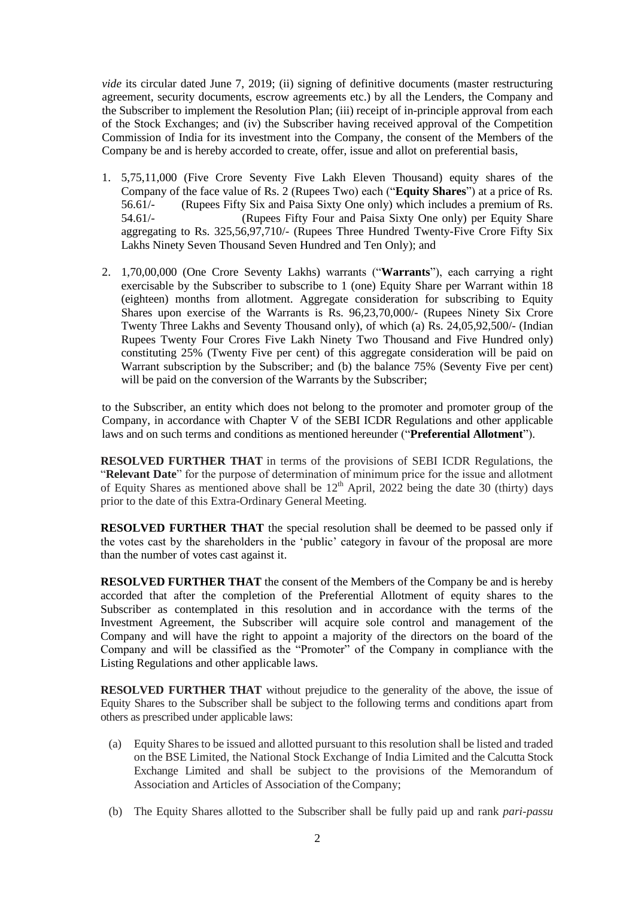*vide* its circular dated June 7, 2019; (ii) signing of definitive documents (master restructuring agreement, security documents, escrow agreements etc.) by all the Lenders, the Company and the Subscriber to implement the Resolution Plan; (iii) receipt of in-principle approval from each of the Stock Exchanges; and (iv) the Subscriber having received approval of the Competition Commission of India for its investment into the Company, the consent of the Members of the Company be and is hereby accorded to create, offer, issue and allot on preferential basis,

- 1. 5,75,11,000 (Five Crore Seventy Five Lakh Eleven Thousand) equity shares of the Company of the face value of Rs. 2 (Rupees Two) each ("**Equity Shares**") at a price of Rs. 56.61/- (Rupees Fifty Six and Paisa Sixty One only) which includes a premium of Rs.<br>54.61/- (Rupees Fifty Four and Paisa Sixty One only) per Fquity Share 54.61/- (Rupees Fifty Four and Paisa Sixty One only) per Equity Share aggregating to Rs. 325,56,97,710/- (Rupees Three Hundred Twenty-Five Crore Fifty Six Lakhs Ninety Seven Thousand Seven Hundred and Ten Only); and
- 2. 1,70,00,000 (One Crore Seventy Lakhs) warrants ("**Warrants**"), each carrying a right exercisable by the Subscriber to subscribe to 1 (one) Equity Share per Warrant within 18 (eighteen) months from allotment. Aggregate consideration for subscribing to Equity Shares upon exercise of the Warrants is Rs. 96,23,70,000/- (Rupees Ninety Six Crore Twenty Three Lakhs and Seventy Thousand only), of which (a) Rs. 24,05,92,500/- (Indian Rupees Twenty Four Crores Five Lakh Ninety Two Thousand and Five Hundred only) constituting 25% (Twenty Five per cent) of this aggregate consideration will be paid on Warrant subscription by the Subscriber; and (b) the balance 75% (Seventy Five per cent) will be paid on the conversion of the Warrants by the Subscriber;

to the Subscriber, an entity which does not belong to the promoter and promoter group of the Company, in accordance with Chapter V of the SEBI ICDR Regulations and other applicable laws and on such terms and conditions as mentioned hereunder ("**Preferential Allotment**").

**RESOLVED FURTHER THAT** in terms of the provisions of SEBI ICDR Regulations, the "**Relevant Date**" for the purpose of determination of minimum price for the issue and allotment of Equity Shares as mentioned above shall be  $12<sup>th</sup>$  April, 2022 being the date 30 (thirty) days prior to the date of this Extra-Ordinary General Meeting.

**RESOLVED FURTHER THAT** the special resolution shall be deemed to be passed only if the votes cast by the shareholders in the "public" category in favour of the proposal are more than the number of votes cast against it.

**RESOLVED FURTHER THAT** the consent of the Members of the Company be and is hereby accorded that after the completion of the Preferential Allotment of equity shares to the Subscriber as contemplated in this resolution and in accordance with the terms of the Investment Agreement, the Subscriber will acquire sole control and management of the Company and will have the right to appoint a majority of the directors on the board of the Company and will be classified as the "Promoter" of the Company in compliance with the Listing Regulations and other applicable laws.

**RESOLVED FURTHER THAT** without prejudice to the generality of the above, the issue of Equity Shares to the Subscriber shall be subject to the following terms and conditions apart from others as prescribed under applicable laws:

- (a) Equity Shares to be issued and allotted pursuant to this resolution shall be listed and traded on the BSE Limited, the National Stock Exchange of India Limited and the Calcutta Stock Exchange Limited and shall be subject to the provisions of the Memorandum of Association and Articles of Association of theCompany;
- (b) The Equity Shares allotted to the Subscriber shall be fully paid up and rank *pari-passu*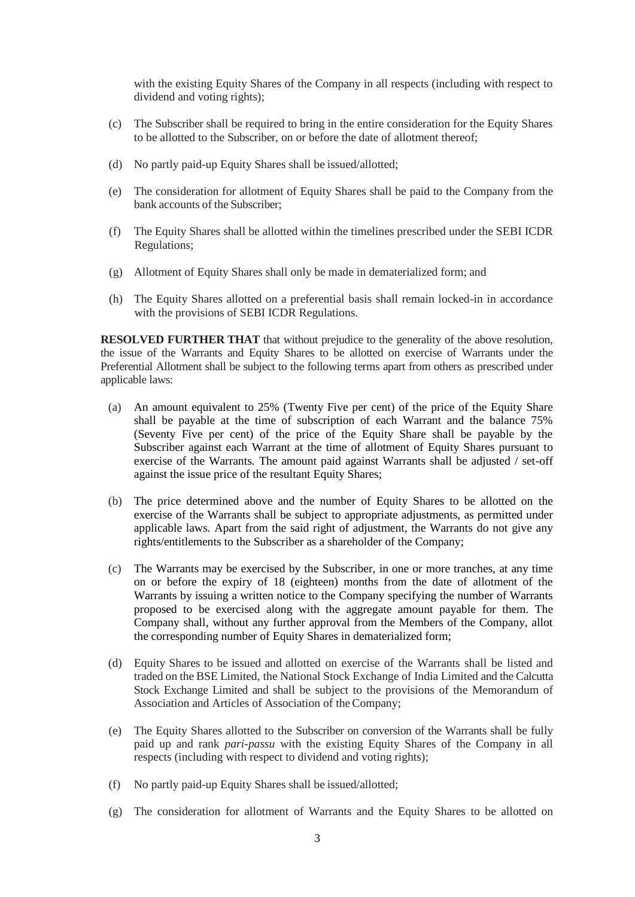with the existing Equity Shares of the Company in all respects (including with respect to dividend and voting rights);

- (c) The Subscriber shall be required to bring in the entire consideration for the Equity Shares to be allotted to the Subscriber, on or before the date of allotment thereof;
- (d) No partly paid-up Equity Shares shall be issued/allotted;
- (e) The consideration for allotment of Equity Shares shall be paid to the Company from the bank accounts of the Subscriber;
- (f) The Equity Shares shall be allotted within the timelines prescribed under the SEBI ICDR Regulations;
- (g) Allotment of Equity Shares shall only be made in dematerialized form; and
- (h) The Equity Shares allotted on a preferential basis shall remain locked-in in accordance with the provisions of SEBI ICDR Regulations.

**RESOLVED FURTHER THAT** that without prejudice to the generality of the above resolution, the issue of the Warrants and Equity Shares to be allotted on exercise of Warrants under the Preferential Allotment shall be subject to the following terms apart from others as prescribed under applicable laws:

- (a) An amount equivalent to 25% (Twenty Five per cent) of the price of the Equity Share shall be payable at the time of subscription of each Warrant and the balance 75% (Seventy Five per cent) of the price of the Equity Share shall be payable by the Subscriber against each Warrant at the time of allotment of Equity Shares pursuant to exercise of the Warrants. The amount paid against Warrants shall be adjusted / set-off against the issue price of the resultant Equity Shares;
- (b) The price determined above and the number of Equity Shares to be allotted on the exercise of the Warrants shall be subject to appropriate adjustments, as permitted under applicable laws. Apart from the said right of adjustment, the Warrants do not give any rights/entitlements to the Subscriber as a shareholder of the Company;
- (c) The Warrants may be exercised by the Subscriber, in one or more tranches, at any time on or before the expiry of 18 (eighteen) months from the date of allotment of the Warrants by issuing a written notice to the Company specifying the number of Warrants proposed to be exercised along with the aggregate amount payable for them. The Company shall, without any further approval from the Members of the Company, allot the corresponding number of Equity Shares in dematerialized form;
- (d) Equity Shares to be issued and allotted on exercise of the Warrants shall be listed and traded on the BSE Limited, the National Stock Exchange of India Limited and the Calcutta Stock Exchange Limited and shall be subject to the provisions of the Memorandum of Association and Articles of Association of theCompany;
- (e) The Equity Shares allotted to the Subscriber on conversion of the Warrants shall be fully paid up and rank *pari-passu* with the existing Equity Shares of the Company in all respects (including with respect to dividend and voting rights);
- (f) No partly paid-up Equity Shares shall be issued/allotted;
- (g) The consideration for allotment of Warrants and the Equity Shares to be allotted on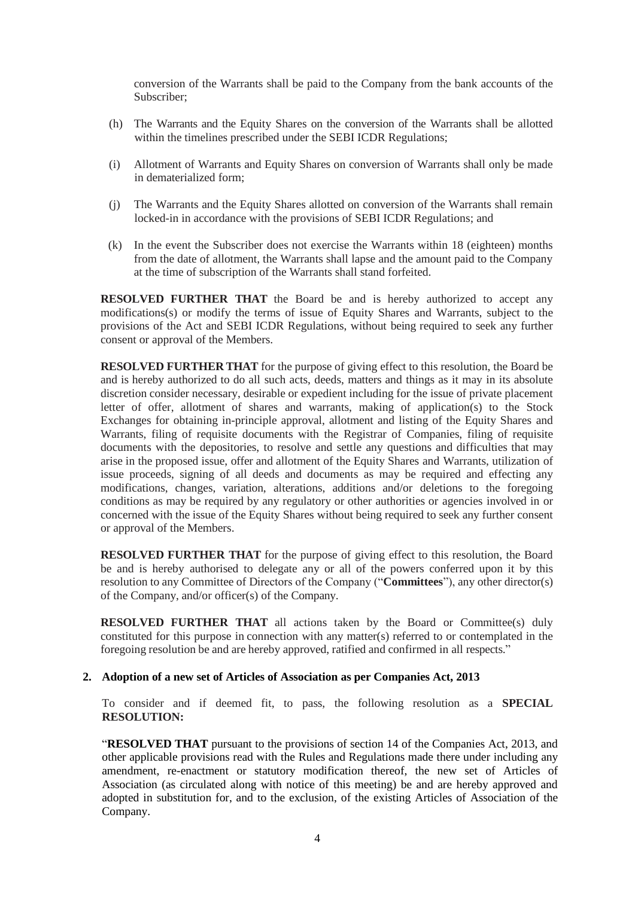conversion of the Warrants shall be paid to the Company from the bank accounts of the Subscriber;

- (h) The Warrants and the Equity Shares on the conversion of the Warrants shall be allotted within the timelines prescribed under the SEBI ICDR Regulations;
- (i) Allotment of Warrants and Equity Shares on conversion of Warrants shall only be made in dematerialized form;
- (j) The Warrants and the Equity Shares allotted on conversion of the Warrants shall remain locked-in in accordance with the provisions of SEBI ICDR Regulations; and
- (k) In the event the Subscriber does not exercise the Warrants within 18 (eighteen) months from the date of allotment, the Warrants shall lapse and the amount paid to the Company at the time of subscription of the Warrants shall stand forfeited.

**RESOLVED FURTHER THAT** the Board be and is hereby authorized to accept any modifications(s) or modify the terms of issue of Equity Shares and Warrants, subject to the provisions of the Act and SEBI ICDR Regulations, without being required to seek any further consent or approval of the Members.

**RESOLVED FURTHER THAT** for the purpose of giving effect to this resolution, the Board be and is hereby authorized to do all such acts, deeds, matters and things as it may in its absolute discretion consider necessary, desirable or expedient including for the issue of private placement letter of offer, allotment of shares and warrants, making of application(s) to the Stock Exchanges for obtaining in-principle approval, allotment and listing of the Equity Shares and Warrants, filing of requisite documents with the Registrar of Companies, filing of requisite documents with the depositories, to resolve and settle any questions and difficulties that may arise in the proposed issue, offer and allotment of the Equity Shares and Warrants, utilization of issue proceeds, signing of all deeds and documents as may be required and effecting any modifications, changes, variation, alterations, additions and/or deletions to the foregoing conditions as may be required by any regulatory or other authorities or agencies involved in or concerned with the issue of the Equity Shares without being required to seek any further consent or approval of the Members.

**RESOLVED FURTHER THAT** for the purpose of giving effect to this resolution, the Board be and is hereby authorised to delegate any or all of the powers conferred upon it by this resolution to any Committee of Directors of the Company ("**Committees**"), any other director(s) of the Company, and/or officer(s) of the Company.

**RESOLVED FURTHER THAT** all actions taken by the Board or Committee(s) duly constituted for this purpose in connection with any matter(s) referred to or contemplated in the foregoing resolution be and are hereby approved, ratified and confirmed in all respects."

## **2. Adoption of a new set of Articles of Association as per Companies Act, 2013**

To consider and if deemed fit, to pass, the following resolution as a **SPECIAL RESOLUTION:**

"**RESOLVED THAT** pursuant to the provisions of section 14 of the Companies Act, 2013, and other applicable provisions read with the Rules and Regulations made there under including any amendment, re-enactment or statutory modification thereof, the new set of Articles of Association (as circulated along with notice of this meeting) be and are hereby approved and adopted in substitution for, and to the exclusion, of the existing Articles of Association of the Company.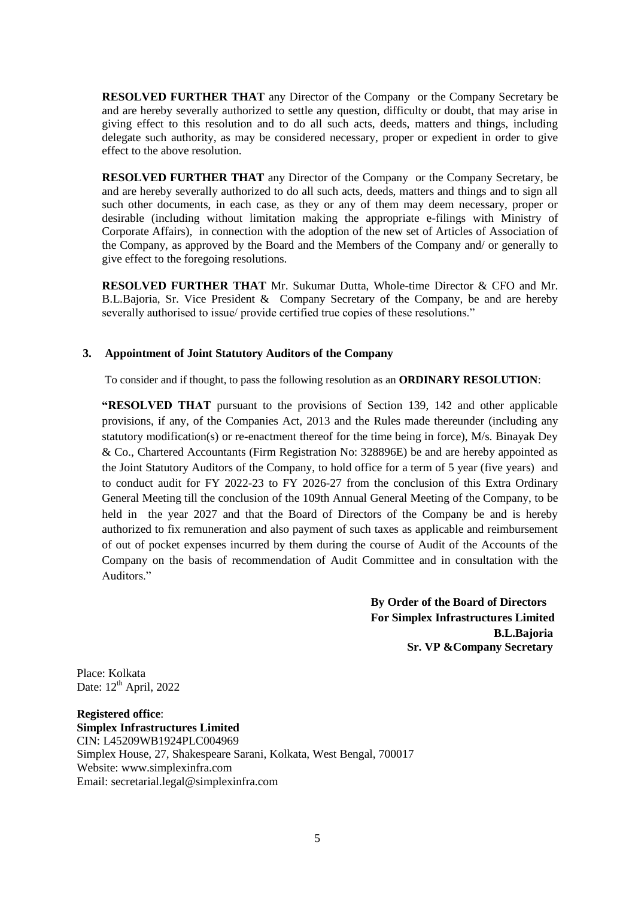**RESOLVED FURTHER THAT** any Director of the Company or the Company Secretary be and are hereby severally authorized to settle any question, difficulty or doubt, that may arise in giving effect to this resolution and to do all such acts, deeds, matters and things, including delegate such authority, as may be considered necessary, proper or expedient in order to give effect to the above resolution.

**RESOLVED FURTHER THAT** any Director of the Company or the Company Secretary, be and are hereby severally authorized to do all such acts, deeds, matters and things and to sign all such other documents, in each case, as they or any of them may deem necessary, proper or desirable (including without limitation making the appropriate e-filings with Ministry of Corporate Affairs), in connection with the adoption of the new set of Articles of Association of the Company, as approved by the Board and the Members of the Company and/ or generally to give effect to the foregoing resolutions.

**RESOLVED FURTHER THAT** Mr. Sukumar Dutta, Whole-time Director & CFO and Mr. B.L.Bajoria, Sr. Vice President & Company Secretary of the Company, be and are hereby severally authorised to issue/ provide certified true copies of these resolutions."

## **3. Appointment of Joint Statutory Auditors of the Company**

To consider and if thought, to pass the following resolution as an **ORDINARY RESOLUTION**:

**"RESOLVED THAT** pursuant to the provisions of Section 139, 142 and other applicable provisions, if any, of the Companies Act, 2013 and the Rules made thereunder (including any statutory modification(s) or re-enactment thereof for the time being in force), M/s. Binayak Dey & Co., Chartered Accountants (Firm Registration No: 328896E) be and are hereby appointed as the Joint Statutory Auditors of the Company, to hold office for a term of 5 year (five years) and to conduct audit for FY 2022-23 to FY 2026-27 from the conclusion of this Extra Ordinary General Meeting till the conclusion of the 109th Annual General Meeting of the Company, to be held in the year 2027 and that the Board of Directors of the Company be and is hereby authorized to fix remuneration and also payment of such taxes as applicable and reimbursement of out of pocket expenses incurred by them during the course of Audit of the Accounts of the Company on the basis of recommendation of Audit Committee and in consultation with the Auditors<sup>"</sup>

> **By Order of the Board of Directors For Simplex Infrastructures Limited B.L.Bajoria Sr. VP &Company Secretary**

Place: Kolkata Date:  $12^{th}$  April, 2022

**Registered office**: **Simplex Infrastructures Limited** CIN: L45209WB1924PLC004969 Simplex House, 27, Shakespeare Sarani, Kolkata, West Bengal, 700017 Website: www.simplexinfra.com Email: secretarial.legal@simplexinfra.com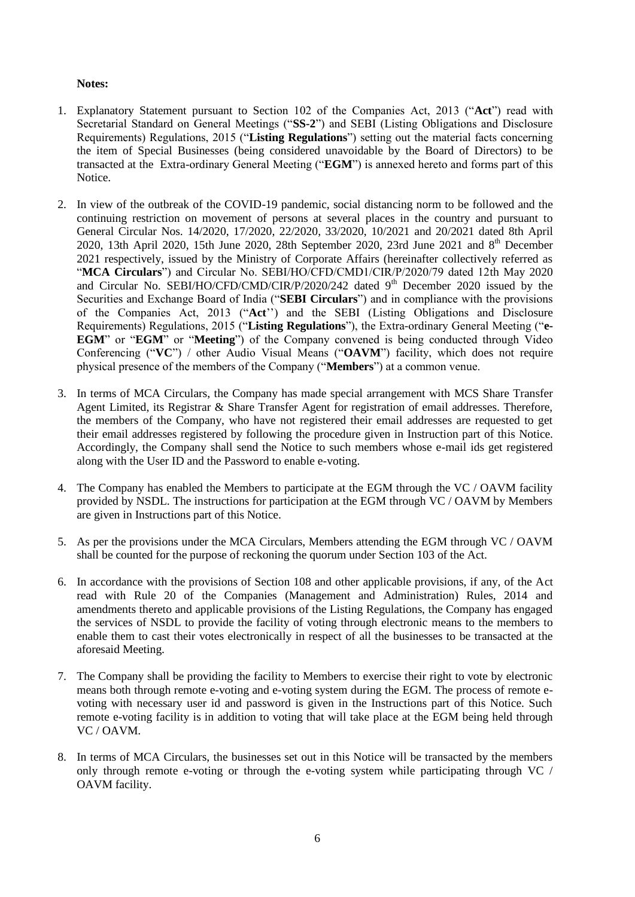## **Notes:**

- 1. Explanatory Statement pursuant to Section 102 of the Companies Act, 2013 ("**Act**") read with Secretarial Standard on General Meetings ("**SS-2**") and SEBI (Listing Obligations and Disclosure Requirements) Regulations, 2015 ("**Listing Regulations**") setting out the material facts concerning the item of Special Businesses (being considered unavoidable by the Board of Directors) to be transacted at the Extra-ordinary General Meeting ("**EGM**") is annexed hereto and forms part of this Notice.
- 2. In view of the outbreak of the COVID-19 pandemic, social distancing norm to be followed and the continuing restriction on movement of persons at several places in the country and pursuant to General Circular Nos. 14/2020, 17/2020, 22/2020, 33/2020, 10/2021 and 20/2021 dated 8th April 2020, 13th April 2020, 15th June 2020, 28th September 2020, 23rd June 2021 and 8<sup>th</sup> December 2021 respectively, issued by the Ministry of Corporate Affairs (hereinafter collectively referred as "**MCA Circulars**") and Circular No. SEBI/HO/CFD/CMD1/CIR/P/2020/79 dated 12th May 2020 and Circular No. SEBI/HO/CFD/CMD/CIR/P/2020/242 dated  $9<sup>th</sup>$  December 2020 issued by the Securities and Exchange Board of India ("**SEBI Circulars**") and in compliance with the provisions of the Companies Act, 2013 ("**Act**"") and the SEBI (Listing Obligations and Disclosure Requirements) Regulations, 2015 ("**Listing Regulations**"), the Extra-ordinary General Meeting ("**e-EGM**" or "**EGM**" or "**Meeting**") of the Company convened is being conducted through Video Conferencing ("**VC**") / other Audio Visual Means ("**OAVM**") facility, which does not require physical presence of the members of the Company ("**Members**") at a common venue.
- 3. In terms of MCA Circulars, the Company has made special arrangement with MCS Share Transfer Agent Limited, its Registrar & Share Transfer Agent for registration of email addresses. Therefore, the members of the Company, who have not registered their email addresses are requested to get their email addresses registered by following the procedure given in Instruction part of this Notice. Accordingly, the Company shall send the Notice to such members whose e-mail ids get registered along with the User ID and the Password to enable e-voting.
- 4. The Company has enabled the Members to participate at the EGM through the VC / OAVM facility provided by NSDL. The instructions for participation at the EGM through VC / OAVM by Members are given in Instructions part of this Notice.
- 5. As per the provisions under the MCA Circulars, Members attending the EGM through VC / OAVM shall be counted for the purpose of reckoning the quorum under Section 103 of the Act.
- 6. In accordance with the provisions of Section 108 and other applicable provisions, if any, of the Act read with Rule 20 of the Companies (Management and Administration) Rules, 2014 and amendments thereto and applicable provisions of the Listing Regulations, the Company has engaged the services of NSDL to provide the facility of voting through electronic means to the members to enable them to cast their votes electronically in respect of all the businesses to be transacted at the aforesaid Meeting.
- 7. The Company shall be providing the facility to Members to exercise their right to vote by electronic means both through remote e-voting and e-voting system during the EGM. The process of remote evoting with necessary user id and password is given in the Instructions part of this Notice. Such remote e-voting facility is in addition to voting that will take place at the EGM being held through VC / OAVM.
- 8. In terms of MCA Circulars, the businesses set out in this Notice will be transacted by the members only through remote e-voting or through the e-voting system while participating through VC / OAVM facility.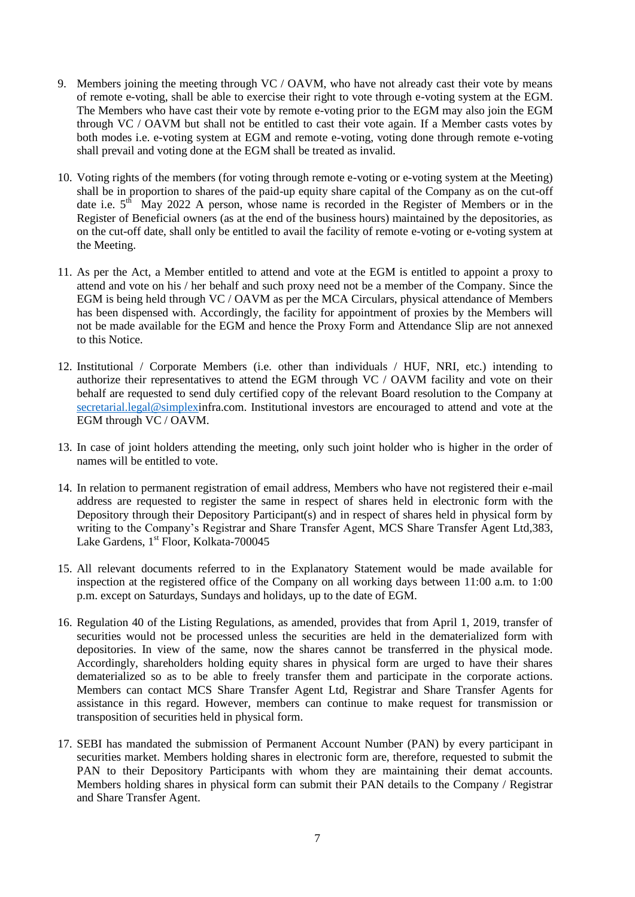- 9. Members joining the meeting through VC / OAVM, who have not already cast their vote by means of remote e-voting, shall be able to exercise their right to vote through e-voting system at the EGM. The Members who have cast their vote by remote e-voting prior to the EGM may also join the EGM through VC / OAVM but shall not be entitled to cast their vote again. If a Member casts votes by both modes i.e. e-voting system at EGM and remote e-voting, voting done through remote e-voting shall prevail and voting done at the EGM shall be treated as invalid.
- 10. Voting rights of the members (for voting through remote e-voting or e-voting system at the Meeting) shall be in proportion to shares of the paid-up equity share capital of the Company as on the cut-off date i.e.  $5<sup>th</sup>$  May 2022 A person, whose name is recorded in the Register of Members or in the Register of Beneficial owners (as at the end of the business hours) maintained by the depositories, as on the cut-off date, shall only be entitled to avail the facility of remote e-voting or e-voting system at the Meeting.
- 11. As per the Act, a Member entitled to attend and vote at the EGM is entitled to appoint a proxy to attend and vote on his / her behalf and such proxy need not be a member of the Company. Since the EGM is being held through VC / OAVM as per the MCA Circulars, physical attendance of Members has been dispensed with. Accordingly, the facility for appointment of proxies by the Members will not be made available for the EGM and hence the Proxy Form and Attendance Slip are not annexed to this Notice.
- 12. Institutional / Corporate Members (i.e. other than individuals / HUF, NRI, etc.) intending to authorize their representatives to attend the EGM through VC / OAVM facility and vote on their behalf are requested to send duly certified copy of the relevant Board resolution to the Company at [secretarial.legal@simplexi](mailto:secretarial.legal@simplex)nfra.com. Institutional investors are encouraged to attend and vote at the EGM through VC / OAVM.
- 13. In case of joint holders attending the meeting, only such joint holder who is higher in the order of names will be entitled to vote.
- 14. In relation to permanent registration of email address, Members who have not registered their e-mail address are requested to register the same in respect of shares held in electronic form with the Depository through their Depository Participant(s) and in respect of shares held in physical form by writing to the Company's Registrar and Share Transfer Agent, MCS Share Transfer Agent Ltd,383, Lake Gardens, 1<sup>st</sup> Floor, Kolkata-700045
- 15. All relevant documents referred to in the Explanatory Statement would be made available for inspection at the registered office of the Company on all working days between 11:00 a.m. to 1:00 p.m. except on Saturdays, Sundays and holidays, up to the date of EGM.
- 16. Regulation 40 of the Listing Regulations, as amended, provides that from April 1, 2019, transfer of securities would not be processed unless the securities are held in the dematerialized form with depositories. In view of the same, now the shares cannot be transferred in the physical mode. Accordingly, shareholders holding equity shares in physical form are urged to have their shares dematerialized so as to be able to freely transfer them and participate in the corporate actions. Members can contact MCS Share Transfer Agent Ltd, Registrar and Share Transfer Agents for assistance in this regard. However, members can continue to make request for transmission or transposition of securities held in physical form.
- 17. SEBI has mandated the submission of Permanent Account Number (PAN) by every participant in securities market. Members holding shares in electronic form are, therefore, requested to submit the PAN to their Depository Participants with whom they are maintaining their demat accounts. Members holding shares in physical form can submit their PAN details to the Company / Registrar and Share Transfer Agent.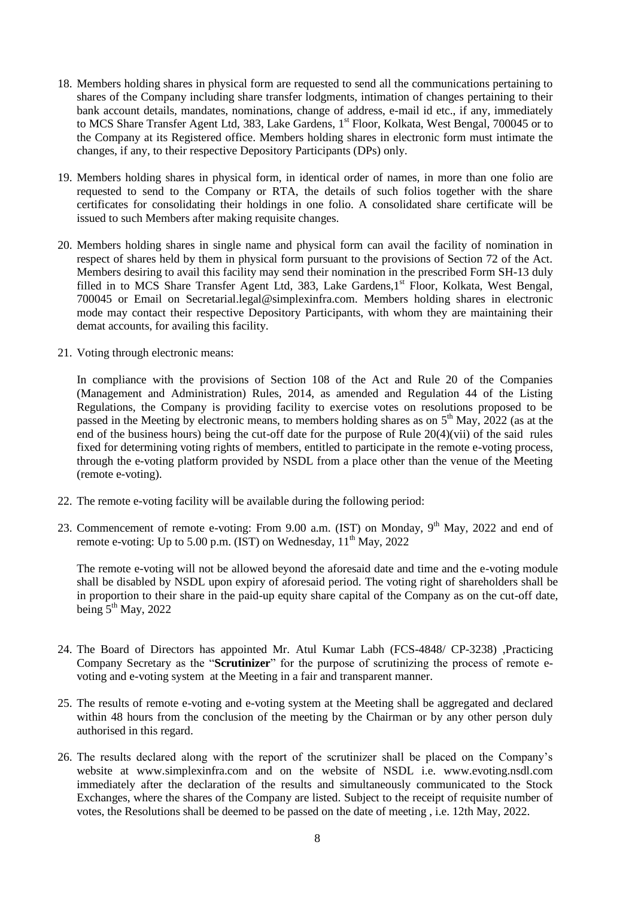- 18. Members holding shares in physical form are requested to send all the communications pertaining to shares of the Company including share transfer lodgments, intimation of changes pertaining to their bank account details, mandates, nominations, change of address, e-mail id etc., if any, immediately to MCS Share Transfer Agent Ltd, 383, Lake Gardens, 1<sup>st</sup> Floor, Kolkata, West Bengal, 700045 or to the Company at its Registered office. Members holding shares in electronic form must intimate the changes, if any, to their respective Depository Participants (DPs) only.
- 19. Members holding shares in physical form, in identical order of names, in more than one folio are requested to send to the Company or RTA, the details of such folios together with the share certificates for consolidating their holdings in one folio. A consolidated share certificate will be issued to such Members after making requisite changes.
- 20. Members holding shares in single name and physical form can avail the facility of nomination in respect of shares held by them in physical form pursuant to the provisions of Section 72 of the Act. Members desiring to avail this facility may send their nomination in the prescribed Form SH-13 duly filled in to MCS Share Transfer Agent Ltd, 383, Lake Gardens, 1<sup>st</sup> Floor, Kolkata, West Bengal, 700045 or Email on Secretarial.legal@simplexinfra.com. Members holding shares in electronic mode may contact their respective Depository Participants, with whom they are maintaining their demat accounts, for availing this facility.
- 21. Voting through electronic means:

In compliance with the provisions of Section 108 of the Act and Rule 20 of the Companies (Management and Administration) Rules, 2014, as amended and Regulation 44 of the Listing Regulations, the Company is providing facility to exercise votes on resolutions proposed to be passed in the Meeting by electronic means, to members holding shares as on  $5<sup>th</sup>$  May, 2022 (as at the end of the business hours) being the cut-off date for the purpose of Rule 20(4)(vii) of the said rules fixed for determining voting rights of members, entitled to participate in the remote e-voting process, through the e-voting platform provided by NSDL from a place other than the venue of the Meeting (remote e-voting).

- 22. The remote e-voting facility will be available during the following period:
- 23. Commencement of remote e-voting: From 9.00 a.m. (IST) on Monday, 9<sup>th</sup> May, 2022 and end of remote e-voting: Up to 5.00 p.m. (IST) on Wednesday,  $11<sup>th</sup>$  May, 2022

The remote e-voting will not be allowed beyond the aforesaid date and time and the e-voting module shall be disabled by NSDL upon expiry of aforesaid period. The voting right of shareholders shall be in proportion to their share in the paid-up equity share capital of the Company as on the cut-off date, being  $5^{th}$  May, 2022

- 24. The Board of Directors has appointed Mr. Atul Kumar Labh (FCS-4848/ CP-3238) ,Practicing Company Secretary as the "**Scrutinizer**" for the purpose of scrutinizing the process of remote evoting and e-voting system at the Meeting in a fair and transparent manner.
- 25. The results of remote e-voting and e-voting system at the Meeting shall be aggregated and declared within 48 hours from the conclusion of the meeting by the Chairman or by any other person duly authorised in this regard.
- 26. The results declared along with the report of the scrutinizer shall be placed on the Company"s website at www.simplexinfra.com and on the website of NSDL i.e. www.evoting.nsdl.com immediately after the declaration of the results and simultaneously communicated to the Stock Exchanges, where the shares of the Company are listed. Subject to the receipt of requisite number of votes, the Resolutions shall be deemed to be passed on the date of meeting , i.e. 12th May, 2022.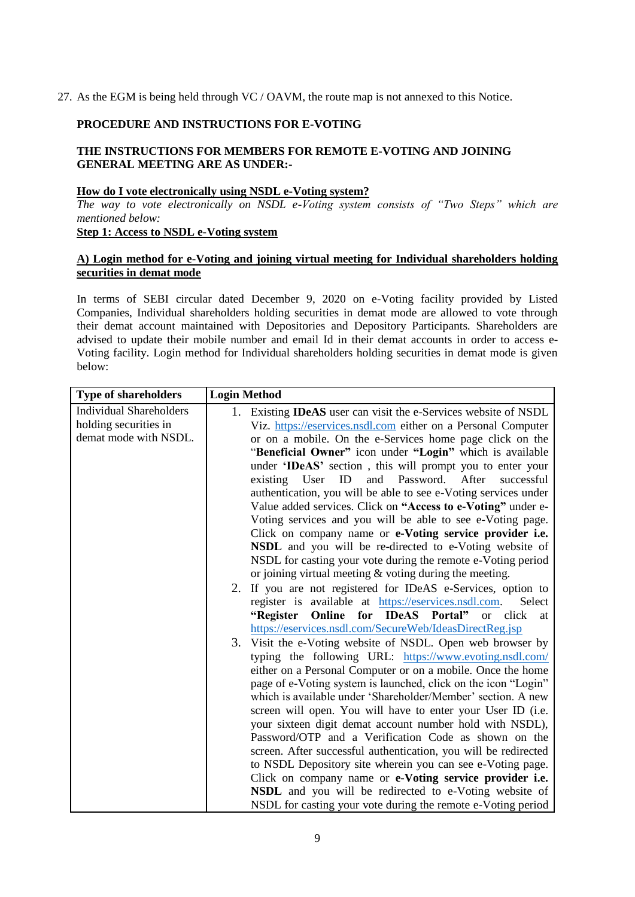27. As the EGM is being held through VC / OAVM, the route map is not annexed to this Notice.

## **PROCEDURE AND INSTRUCTIONS FOR E-VOTING**

## **THE INSTRUCTIONS FOR MEMBERS FOR REMOTE E-VOTING AND JOINING GENERAL MEETING ARE AS UNDER:-**

#### **How do I vote electronically using NSDL e-Voting system?**

*The way to vote electronically on NSDL e-Voting system consists of "Two Steps" which are mentioned below:*

## **Step 1: Access to NSDL e-Voting system**

## **A) Login method for e-Voting and joining virtual meeting for Individual shareholders holding securities in demat mode**

In terms of SEBI circular dated December 9, 2020 on e-Voting facility provided by Listed Companies, Individual shareholders holding securities in demat mode are allowed to vote through their demat account maintained with Depositories and Depository Participants. Shareholders are advised to update their mobile number and email Id in their demat accounts in order to access e-Voting facility. Login method for Individual shareholders holding securities in demat mode is given below:

| <b>Type of shareholders</b>    |    | <b>Login Method</b>                                                    |
|--------------------------------|----|------------------------------------------------------------------------|
| <b>Individual Shareholders</b> |    | 1. Existing <b>IDeAS</b> user can visit the e-Services website of NSDL |
| holding securities in          |    | Viz. https://eservices.nsdl.com either on a Personal Computer          |
| demat mode with NSDL.          |    | or on a mobile. On the e-Services home page click on the               |
|                                |    | "Beneficial Owner" icon under "Login" which is available               |
|                                |    | under 'IDeAS' section, this will prompt you to enter your              |
|                                |    | Password. After<br>and<br>successful<br>existing User<br>ID            |
|                                |    | authentication, you will be able to see e-Voting services under        |
|                                |    | Value added services. Click on "Access to e-Voting" under e-           |
|                                |    | Voting services and you will be able to see e-Voting page.             |
|                                |    | Click on company name or e-Voting service provider i.e.                |
|                                |    | NSDL and you will be re-directed to e-Voting website of                |
|                                |    | NSDL for casting your vote during the remote e-Voting period           |
|                                |    | or joining virtual meeting $&$ voting during the meeting.              |
|                                |    | 2. If you are not registered for IDeAS e-Services, option to           |
|                                |    | register is available at https://eservices.nsdl.com.<br>Select         |
|                                |    | "Register<br>Online for IDeAS Portal"<br>or click<br>at                |
|                                |    | https://eservices.nsdl.com/SecureWeb/IdeasDirectReg.jsp                |
|                                | 3. | Visit the e-Voting website of NSDL. Open web browser by                |
|                                |    | typing the following URL: https://www.evoting.nsdl.com/                |
|                                |    | either on a Personal Computer or on a mobile. Once the home            |
|                                |    | page of e-Voting system is launched, click on the icon "Login"         |
|                                |    | which is available under 'Shareholder/Member' section. A new           |
|                                |    | screen will open. You will have to enter your User ID (i.e.            |
|                                |    | your sixteen digit demat account number hold with NSDL),               |
|                                |    | Password/OTP and a Verification Code as shown on the                   |
|                                |    | screen. After successful authentication, you will be redirected        |
|                                |    | to NSDL Depository site wherein you can see e-Voting page.             |
|                                |    | Click on company name or e-Voting service provider i.e.                |
|                                |    | NSDL and you will be redirected to e-Voting website of                 |
|                                |    | NSDL for casting your vote during the remote e-Voting period           |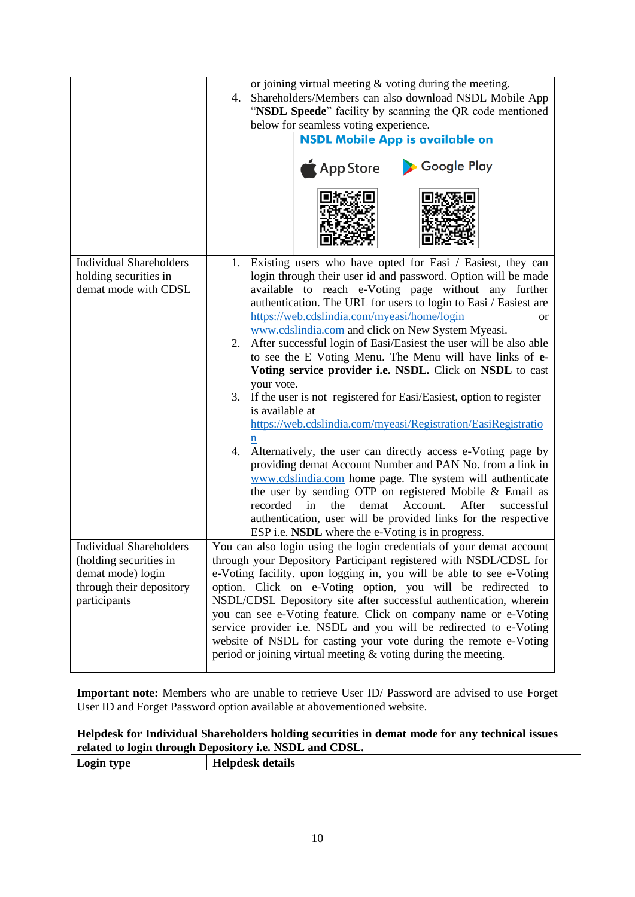|                                                                                                                           | or joining virtual meeting $\&$ voting during the meeting.<br>Shareholders/Members can also download NSDL Mobile App<br>4.<br>"NSDL Speede" facility by scanning the QR code mentioned<br>below for seamless voting experience.<br><b>NSDL Mobile App is available on</b><br>Google Play<br>App Store                                                                                                                                                                                                                                                                                                                                                                                                                                                                                                                                                                                                                                                                                                                                                                                                                                                                                                        |
|---------------------------------------------------------------------------------------------------------------------------|--------------------------------------------------------------------------------------------------------------------------------------------------------------------------------------------------------------------------------------------------------------------------------------------------------------------------------------------------------------------------------------------------------------------------------------------------------------------------------------------------------------------------------------------------------------------------------------------------------------------------------------------------------------------------------------------------------------------------------------------------------------------------------------------------------------------------------------------------------------------------------------------------------------------------------------------------------------------------------------------------------------------------------------------------------------------------------------------------------------------------------------------------------------------------------------------------------------|
| <b>Individual Shareholders</b><br>holding securities in<br>demat mode with CDSL                                           | 1. Existing users who have opted for Easi / Easiest, they can<br>login through their user id and password. Option will be made<br>available to reach e-Voting page without any further<br>authentication. The URL for users to login to Easi / Easiest are<br>https://web.cdslindia.com/myeasi/home/login<br><b>or</b><br>www.cdslindia.com and click on New System Myeasi.<br>2. After successful login of Easi/Easiest the user will be also able<br>to see the E Voting Menu. The Menu will have links of e-<br>Voting service provider i.e. NSDL. Click on NSDL to cast<br>your vote.<br>3. If the user is not registered for Easi/Easiest, option to register<br>is available at<br>https://web.cdslindia.com/myeasi/Registration/EasiRegistratio<br>4.<br>Alternatively, the user can directly access e-Voting page by<br>providing demat Account Number and PAN No. from a link in<br>www.cdslindia.com home page. The system will authenticate<br>the user by sending OTP on registered Mobile & Email as<br>the<br>Account.<br>After<br>recorded<br>in<br>demat<br>successful<br>authentication, user will be provided links for the respective<br>ESP i.e. NSDL where the e-Voting is in progress. |
| <b>Individual Shareholders</b><br>(holding securities in<br>demat mode) login<br>through their depository<br>participants | You can also login using the login credentials of your demat account<br>through your Depository Participant registered with NSDL/CDSL for<br>e-Voting facility. upon logging in, you will be able to see e-Voting<br>option. Click on e-Voting option, you will be redirected to<br>NSDL/CDSL Depository site after successful authentication, wherein<br>you can see e-Voting feature. Click on company name or e-Voting<br>service provider i.e. NSDL and you will be redirected to e-Voting<br>website of NSDL for casting your vote during the remote e-Voting<br>period or joining virtual meeting $&$ voting during the meeting.                                                                                                                                                                                                                                                                                                                                                                                                                                                                                                                                                                       |

**Important note:** Members who are unable to retrieve User ID/ Password are advised to use Forget User ID and Forget Password option available at abovementioned website.

# **Helpdesk for Individual Shareholders holding securities in demat mode for any technical issues related to login through Depository i.e. NSDL and CDSL.**

| $\overline{\phantom{a}}$<br>*vne – | details<br>tesk |
|------------------------------------|-----------------|
|                                    |                 |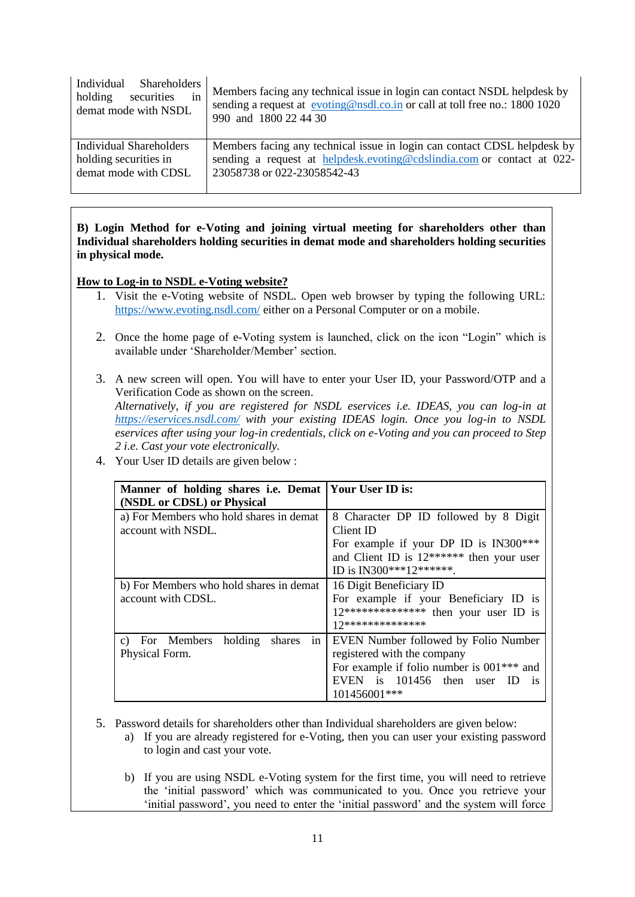| Individual Shareholders<br>in<br>securities<br>holding<br>demat mode with NSDL | Members facing any technical issue in login can contact NSDL helpdesk by<br>sending a request at evoting@nsdl.co.in or call at toll free no.: 1800 1020<br>990 and 1800 22 44 30 |
|--------------------------------------------------------------------------------|----------------------------------------------------------------------------------------------------------------------------------------------------------------------------------|
| Individual Shareholders                                                        | Members facing any technical issue in login can contact CDSL helpdesk by                                                                                                         |
| holding securities in                                                          | sending a request at helpdesk.evoting@cdslindia.com or contact at 022-                                                                                                           |
| demat mode with CDSL                                                           | 23058738 or 022-23058542-43                                                                                                                                                      |

## **B) Login Method for e-Voting and joining virtual meeting for shareholders other than Individual shareholders holding securities in demat mode and shareholders holding securities in physical mode.**

## **How to Log-in to NSDL e-Voting website?**

- 1. Visit the e-Voting website of NSDL. Open web browser by typing the following URL: <https://www.evoting.nsdl.com/> either on a Personal Computer or on a mobile.
- 2. Once the home page of e-Voting system is launched, click on the icon "Login" which is available under "Shareholder/Member" section.
- 3. A new screen will open. You will have to enter your User ID, your Password/OTP and a Verification Code as shown on the screen.

*Alternatively, if you are registered for NSDL eservices i.e. IDEAS, you can log-in at <https://eservices.nsdl.com/> with your existing IDEAS login. Once you log-in to NSDL eservices after using your log-in credentials, click on e-Voting and you can proceed to Step 2 i.e. Cast your vote electronically.*

| Manner of holding shares i.e. Demat   Your User ID is:        |                                                                                                                                                                                 |  |  |
|---------------------------------------------------------------|---------------------------------------------------------------------------------------------------------------------------------------------------------------------------------|--|--|
| (NSDL or CDSL) or Physical                                    |                                                                                                                                                                                 |  |  |
| a) For Members who hold shares in demat<br>account with NSDL. | 8 Character DP ID followed by 8 Digit<br>Client ID<br>For example if your DP ID is IN300***<br>and Client ID is $12******$ then your user<br>ID is IN300***12*******.           |  |  |
| b) For Members who hold shares in demat<br>account with CDSL. | 16 Digit Beneficiary ID<br>For example if your Beneficiary ID is<br>$12***************$ then your user ID is<br>17**************                                                |  |  |
| c) For Members holding<br>shares<br>Physical Form.            | in   EVEN Number followed by Folio Number<br>registered with the company<br>For example if folio number is $001***$ and<br>EVEN is 101456 then user ID<br>$-1S$<br>101456001*** |  |  |

4. Your User ID details are given below :

- 5. Password details for shareholders other than Individual shareholders are given below:
	- a) If you are already registered for e-Voting, then you can user your existing password to login and cast your vote.
	- b) If you are using NSDL e-Voting system for the first time, you will need to retrieve the "initial password" which was communicated to you. Once you retrieve your 'initial password', you need to enter the 'initial password' and the system will force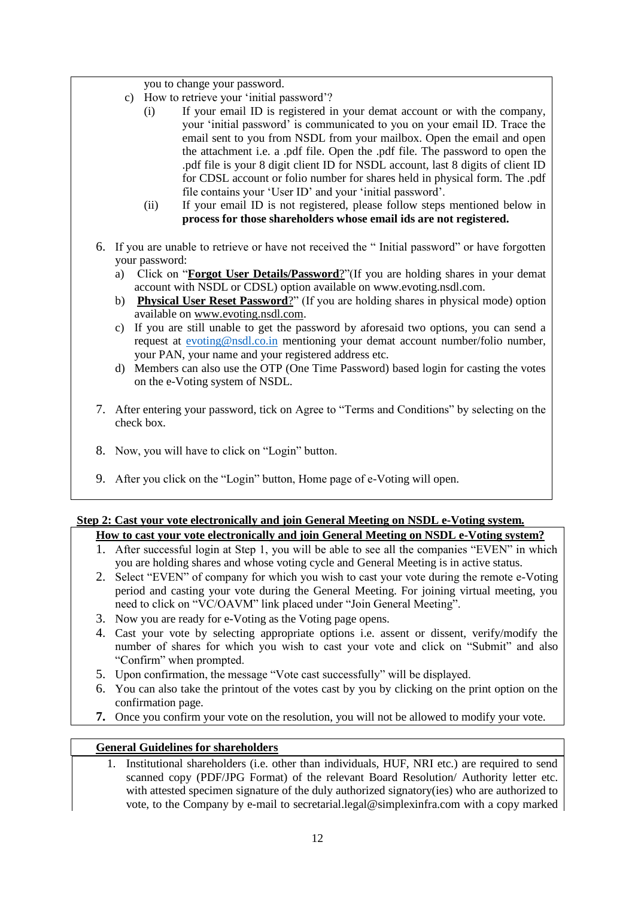you to change your password.

- c) How to retrieve your "initial password"?
	- (i) If your email ID is registered in your demat account or with the company, your "initial password" is communicated to you on your email ID. Trace the email sent to you from NSDL from your mailbox. Open the email and open the attachment i.e. a .pdf file. Open the .pdf file. The password to open the .pdf file is your 8 digit client ID for NSDL account, last 8 digits of client ID for CDSL account or folio number for shares held in physical form. The .pdf file contains your 'User ID' and your 'initial password'.
	- (ii) If your email ID is not registered, please follow steps mentioned below in **process for those shareholders whose email ids are not registered.**
- 6. If you are unable to retrieve or have not received the " Initial password" or have forgotten your password:
	- a) Click on "**[Forgot User Details/Password](https://www.evoting.nsdl.com/eVotingWeb/commonhtmls/NewUser.jsp)**?"(If you are holding shares in your demat account with NSDL or CDSL) option available on www.evoting.nsdl.com.
	- b) **[Physical User Reset Password](https://www.evoting.nsdl.com/eVotingWeb/commonhtmls/PhysicalUser.jsp)**?" (If you are holding shares in physical mode) option available on [www.evoting.nsdl.com.](http://www.evoting.nsdl.com/)
	- c) If you are still unable to get the password by aforesaid two options, you can send a request at [evoting@nsdl.co.in](mailto:evoting@nsdl.co.in) mentioning your demat account number/folio number, your PAN, your name and your registered address etc.
	- d) Members can also use the OTP (One Time Password) based login for casting the votes on the e-Voting system of NSDL.
- 7. After entering your password, tick on Agree to "Terms and Conditions" by selecting on the check box.
- 8. Now, you will have to click on "Login" button.
- 9. After you click on the "Login" button, Home page of e-Voting will open.

# **Step 2: Cast your vote electronically and join General Meeting on NSDL e-Voting system.**

- **How to cast your vote electronically and join General Meeting on NSDL e-Voting system?** 1. After successful login at Step 1, you will be able to see all the companies "EVEN" in which
	- you are holding shares and whose voting cycle and General Meeting is in active status.
- 2. Select "EVEN" of company for which you wish to cast your vote during the remote e-Voting period and casting your vote during the General Meeting. For joining virtual meeting, you need to click on "VC/OAVM" link placed under "Join General Meeting".
- 3. Now you are ready for e-Voting as the Voting page opens.
- 4. Cast your vote by selecting appropriate options i.e. assent or dissent, verify/modify the number of shares for which you wish to cast your vote and click on "Submit" and also "Confirm" when prompted.
- 5. Upon confirmation, the message "Vote cast successfully" will be displayed.
- 6. You can also take the printout of the votes cast by you by clicking on the print option on the confirmation page.
- **7.** Once you confirm your vote on the resolution, you will not be allowed to modify your vote.

#### **General Guidelines for shareholders**

1. Institutional shareholders (i.e. other than individuals, HUF, NRI etc.) are required to send scanned copy (PDF/JPG Format) of the relevant Board Resolution/ Authority letter etc. with attested specimen signature of the duly authorized signatory(ies) who are authorized to vote, to the Company by e-mail to secretarial.legal@simplexinfra.com with a copy marked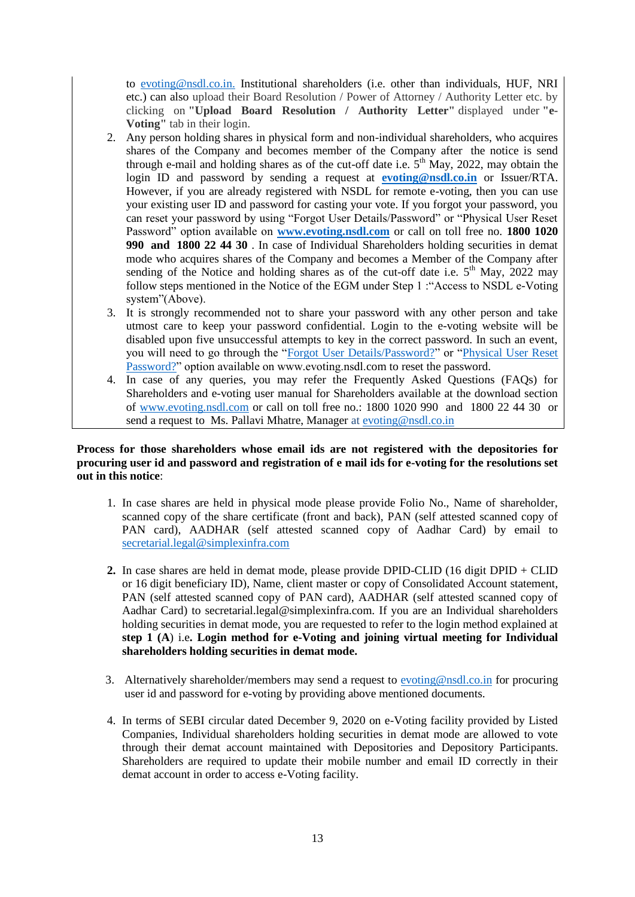to [evoting@nsdl.co.in.](mailto:evoting@nsdl.co.in) Institutional shareholders (i.e. other than individuals, HUF, NRI etc.) can also upload their Board Resolution / Power of Attorney / Authority Letter etc. by clicking on **"Upload Board Resolution / Authority Letter"** displayed under **"e-Voting"** tab in their login.

- 2. Any person holding shares in physical form and non-individual shareholders, who acquires shares of the Company and becomes member of the Company after the notice is send through e-mail and holding shares as of the cut-off date i.e.  $5<sup>th</sup>$  May, 2022, may obtain the login ID and password by sending a request at **[evoting@nsdl.co.in](mailto:evoting@nsdl.co.in)** or Issuer/RTA. However, if you are already registered with NSDL for remote e-voting, then you can use your existing user ID and password for casting your vote. If you forgot your password, you can reset your password by using "Forgot User Details/Password" or "Physical User Reset Password" option available on **[www.evoting.nsdl.com](http://www.evoting.nsdl.com/)** or call on toll free no. **1800 1020 990 and 1800 22 44 30** . In case of Individual Shareholders holding securities in demat mode who acquires shares of the Company and becomes a Member of the Company after sending of the Notice and holding shares as of the cut-off date i.e.  $5<sup>th</sup>$  May, 2022 may follow steps mentioned in the Notice of the EGM under Step 1 :"Access to NSDL e-Voting system"(Above).
- 3. It is strongly recommended not to share your password with any other person and take utmost care to keep your password confidential. Login to the e-voting website will be disabled upon five unsuccessful attempts to key in the correct password. In such an event, you will need to go through the ["Forgot User Details/Password?"](https://www.evoting.nsdl.com/eVotingWeb/commonhtmls/NewUser.jsp) or ["Physical User Reset](https://www.evoting.nsdl.com/eVotingWeb/commonhtmls/PhysicalUser.jsp)  [Password?"](https://www.evoting.nsdl.com/eVotingWeb/commonhtmls/PhysicalUser.jsp) option available on www.evoting.nsdl.com to reset the password.
- 4. In case of any queries, you may refer the Frequently Asked Questions (FAQs) for Shareholders and e-voting user manual for Shareholders available at the download section of [www.evoting.nsdl.com](http://www.evoting.nsdl.com/) or call on toll free no.: 1800 1020 990 and 1800 22 44 30 or send a request to Ms. Pallavi Mhatre, Manager at [evoting@nsdl.co.in](mailto:evoting@nsdl.co.in)

## **Process for those shareholders whose email ids are not registered with the depositories for procuring user id and password and registration of e mail ids for e-voting for the resolutions set out in this notice**:

- 1. In case shares are held in physical mode please provide Folio No., Name of shareholder, scanned copy of the share certificate (front and back), PAN (self attested scanned copy of PAN card), AADHAR (self attested scanned copy of Aadhar Card) by email to [secretarial.legal@simplexinfra.com](mailto:secretarial.legal@simplexinfra.com)
- **2.** In case shares are held in demat mode, please provide DPID-CLID (16 digit DPID + CLID or 16 digit beneficiary ID), Name, client master or copy of Consolidated Account statement, PAN (self attested scanned copy of PAN card), AADHAR (self attested scanned copy of Aadhar Card) to secretarial.legal@simplexinfra.com. If you are an Individual shareholders holding securities in demat mode, you are requested to refer to the login method explained at **step 1 (A**) i.e**. Login method for e-Voting and joining virtual meeting for Individual shareholders holding securities in demat mode.**
- 3. Alternatively shareholder/members may send a request to [evoting@nsdl.co.in](mailto:evoting@nsdl.co.in) for procuring user id and password for e-voting by providing above mentioned documents.
- 4. In terms of SEBI circular dated December 9, 2020 on e-Voting facility provided by Listed Companies, Individual shareholders holding securities in demat mode are allowed to vote through their demat account maintained with Depositories and Depository Participants. Shareholders are required to update their mobile number and email ID correctly in their demat account in order to access e-Voting facility.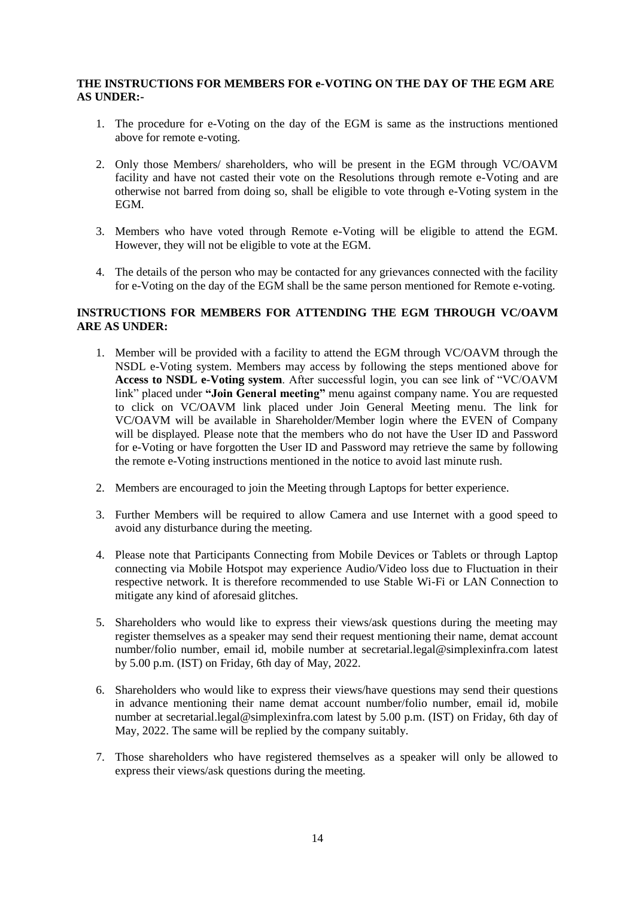#### **THE INSTRUCTIONS FOR MEMBERS FOR e-VOTING ON THE DAY OF THE EGM ARE AS UNDER:-**

- 1. The procedure for e-Voting on the day of the EGM is same as the instructions mentioned above for remote e-voting.
- 2. Only those Members/ shareholders, who will be present in the EGM through VC/OAVM facility and have not casted their vote on the Resolutions through remote e-Voting and are otherwise not barred from doing so, shall be eligible to vote through e-Voting system in the EGM.
- 3. Members who have voted through Remote e-Voting will be eligible to attend the EGM. However, they will not be eligible to vote at the EGM.
- 4. The details of the person who may be contacted for any grievances connected with the facility for e-Voting on the day of the EGM shall be the same person mentioned for Remote e-voting.

## **INSTRUCTIONS FOR MEMBERS FOR ATTENDING THE EGM THROUGH VC/OAVM ARE AS UNDER:**

- 1. Member will be provided with a facility to attend the EGM through VC/OAVM through the NSDL e-Voting system. Members may access by following the steps mentioned above for **Access to NSDL e-Voting system**. After successful login, you can see link of "VC/OAVM link" placed under **"Join General meeting"** menu against company name. You are requested to click on VC/OAVM link placed under Join General Meeting menu. The link for VC/OAVM will be available in Shareholder/Member login where the EVEN of Company will be displayed. Please note that the members who do not have the User ID and Password for e-Voting or have forgotten the User ID and Password may retrieve the same by following the remote e-Voting instructions mentioned in the notice to avoid last minute rush.
- 2. Members are encouraged to join the Meeting through Laptops for better experience.
- 3. Further Members will be required to allow Camera and use Internet with a good speed to avoid any disturbance during the meeting.
- 4. Please note that Participants Connecting from Mobile Devices or Tablets or through Laptop connecting via Mobile Hotspot may experience Audio/Video loss due to Fluctuation in their respective network. It is therefore recommended to use Stable Wi-Fi or LAN Connection to mitigate any kind of aforesaid glitches.
- 5. Shareholders who would like to express their views/ask questions during the meeting may register themselves as a speaker may send their request mentioning their name, demat account number/folio number, email id, mobile number at secretarial.legal@simplexinfra.com latest by 5.00 p.m. (IST) on Friday, 6th day of May, 2022.
- 6. Shareholders who would like to express their views/have questions may send their questions in advance mentioning their name demat account number/folio number, email id, mobile number at secretarial.legal@simplexinfra.com latest by 5.00 p.m. (IST) on Friday, 6th day of May, 2022. The same will be replied by the company suitably.
- 7. Those shareholders who have registered themselves as a speaker will only be allowed to express their views/ask questions during the meeting.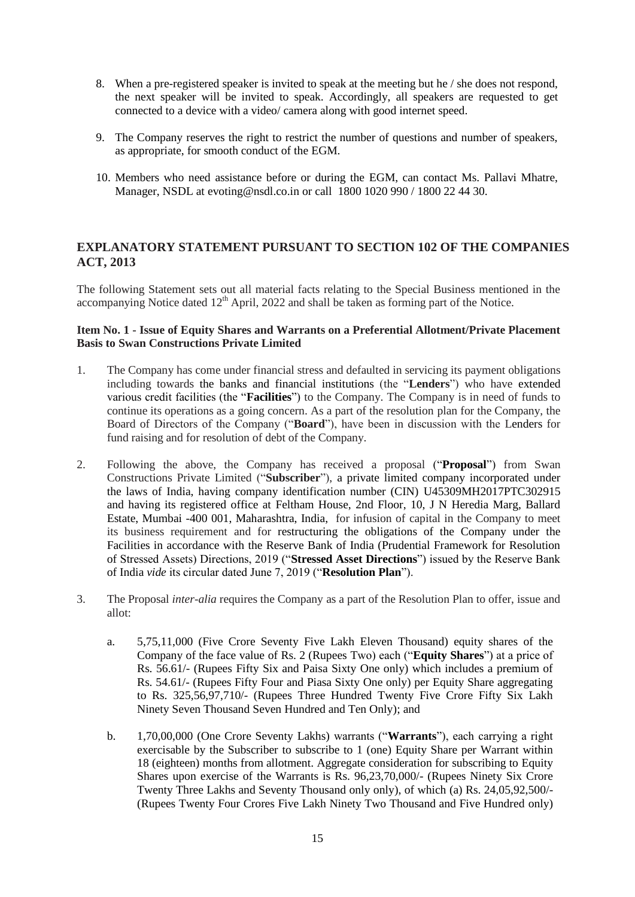- 8. When a pre-registered speaker is invited to speak at the meeting but he / she does not respond, the next speaker will be invited to speak. Accordingly, all speakers are requested to get connected to a device with a video/ camera along with good internet speed.
- 9. The Company reserves the right to restrict the number of questions and number of speakers, as appropriate, for smooth conduct of the EGM.
- 10. Members who need assistance before or during the EGM, can contact Ms. Pallavi Mhatre, Manager, NSDL at [evoting@nsdl.co.in](mailto:evoting@nsdl.co.in) or call 1800 1020 990 / 1800 22 44 30.

# **EXPLANATORY STATEMENT PURSUANT TO SECTION 102 OF THE COMPANIES ACT, 2013**

The following Statement sets out all material facts relating to the Special Business mentioned in the accompanying Notice dated  $12<sup>th</sup>$  April, 2022 and shall be taken as forming part of the Notice.

## **Item No. 1 - Issue of Equity Shares and Warrants on a Preferential Allotment/Private Placement Basis to Swan Constructions Private Limited**

- 1. The Company has come under financial stress and defaulted in servicing its payment obligations including towards the banks and financial institutions (the "**Lenders**") who have extended various credit facilities (the "**Facilities**") to the Company. The Company is in need of funds to continue its operations as a going concern. As a part of the resolution plan for the Company, the Board of Directors of the Company ("**Board**"), have been in discussion with the Lenders for fund raising and for resolution of debt of the Company.
- 2. Following the above, the Company has received a proposal ("**Proposal**") from Swan Constructions Private Limited ("**Subscriber**"), a private limited company incorporated under the laws of India, having company identification number (CIN) U45309MH2017PTC302915 and having its registered office at Feltham House, 2nd Floor, 10, J N Heredia Marg, Ballard Estate, Mumbai -400 001, Maharashtra, India, for infusion of capital in the Company to meet its business requirement and for restructuring the obligations of the Company under the Facilities in accordance with the Reserve Bank of India (Prudential Framework for Resolution of Stressed Assets) Directions, 2019 ("**Stressed Asset Directions**") issued by the Reserve Bank of India *vide* its circular dated June 7, 2019 ("**Resolution Plan**").
- 3. The Proposal *inter-alia* requires the Company as a part of the Resolution Plan to offer, issue and allot:
	- a. 5,75,11,000 (Five Crore Seventy Five Lakh Eleven Thousand) equity shares of the Company of the face value of Rs. 2 (Rupees Two) each ("**Equity Shares**") at a price of Rs. 56.61/- (Rupees Fifty Six and Paisa Sixty One only) which includes a premium of Rs. 54.61/- (Rupees Fifty Four and Piasa Sixty One only) per Equity Share aggregating to Rs. 325,56,97,710/- (Rupees Three Hundred Twenty Five Crore Fifty Six Lakh Ninety Seven Thousand Seven Hundred and Ten Only); and
	- b. 1,70,00,000 (One Crore Seventy Lakhs) warrants ("**Warrants**"), each carrying a right exercisable by the Subscriber to subscribe to 1 (one) Equity Share per Warrant within 18 (eighteen) months from allotment. Aggregate consideration for subscribing to Equity Shares upon exercise of the Warrants is Rs. 96,23,70,000/- (Rupees Ninety Six Crore Twenty Three Lakhs and Seventy Thousand only only), of which (a) Rs. 24,05,92,500/- (Rupees Twenty Four Crores Five Lakh Ninety Two Thousand and Five Hundred only)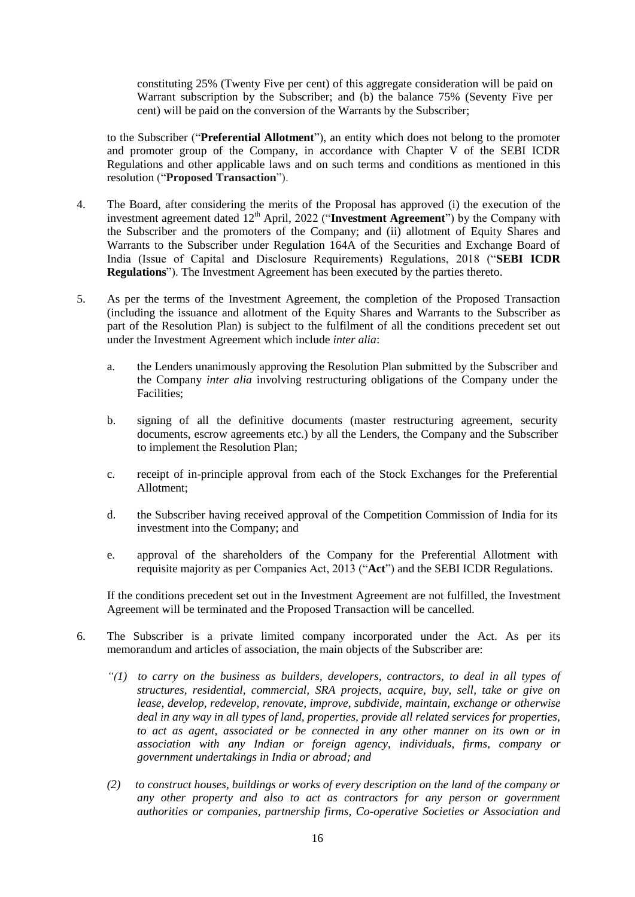constituting 25% (Twenty Five per cent) of this aggregate consideration will be paid on Warrant subscription by the Subscriber; and (b) the balance 75% (Seventy Five per cent) will be paid on the conversion of the Warrants by the Subscriber;

to the Subscriber ("**Preferential Allotment**"), an entity which does not belong to the promoter and promoter group of the Company, in accordance with Chapter V of the SEBI ICDR Regulations and other applicable laws and on such terms and conditions as mentioned in this resolution ("**Proposed Transaction**").

- 4. The Board, after considering the merits of the Proposal has approved (i) the execution of the investment agreement dated 12<sup>th</sup> April, 2022 ("**Investment Agreement**") by the Company with the Subscriber and the promoters of the Company; and (ii) allotment of Equity Shares and Warrants to the Subscriber under Regulation 164A of the Securities and Exchange Board of India (Issue of Capital and Disclosure Requirements) Regulations, 2018 ("**SEBI ICDR Regulations**"). The Investment Agreement has been executed by the parties thereto.
- 5. As per the terms of the Investment Agreement, the completion of the Proposed Transaction (including the issuance and allotment of the Equity Shares and Warrants to the Subscriber as part of the Resolution Plan) is subject to the fulfilment of all the conditions precedent set out under the Investment Agreement which include *inter alia*:
	- a. the Lenders unanimously approving the Resolution Plan submitted by the Subscriber and the Company *inter alia* involving restructuring obligations of the Company under the Facilities;
	- b. signing of all the definitive documents (master restructuring agreement, security documents, escrow agreements etc.) by all the Lenders, the Company and the Subscriber to implement the Resolution Plan;
	- c. receipt of in-principle approval from each of the Stock Exchanges for the Preferential Allotment;
	- d. the Subscriber having received approval of the Competition Commission of India for its investment into the Company; and
	- e. approval of the shareholders of the Company for the Preferential Allotment with requisite majority as per Companies Act, 2013 ("**Act**") and the SEBI ICDR Regulations.

If the conditions precedent set out in the Investment Agreement are not fulfilled, the Investment Agreement will be terminated and the Proposed Transaction will be cancelled.

- 6. The Subscriber is a private limited company incorporated under the Act. As per its memorandum and articles of association, the main objects of the Subscriber are:
	- *"(1) to carry on the business as builders, developers, contractors, to deal in all types of structures, residential, commercial, SRA projects, acquire, buy, sell, take or give on lease, develop, redevelop, renovate, improve, subdivide, maintain, exchange or otherwise deal in any way in all types of land, properties, provide all related services for properties, to act as agent, associated or be connected in any other manner on its own or in association with any Indian or foreign agency, individuals, firms, company or government undertakings in India or abroad; and*
	- *(2) to construct houses, buildings or works of every description on the land of the company or any other property and also to act as contractors for any person or government authorities or companies, partnership firms, Co-operative Societies or Association and*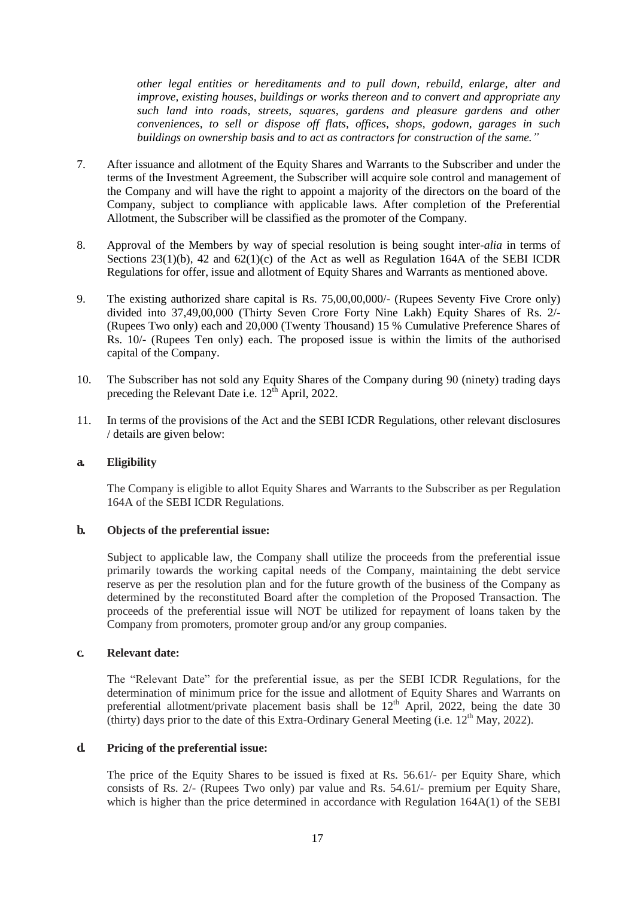*other legal entities or hereditaments and to pull down, rebuild, enlarge, alter and improve, existing houses, buildings or works thereon and to convert and appropriate any such land into roads, streets, squares, gardens and pleasure gardens and other conveniences, to sell or dispose off flats, offices, shops, godown, garages in such buildings on ownership basis and to act as contractors for construction of the same."*

- 7. After issuance and allotment of the Equity Shares and Warrants to the Subscriber and under the terms of the Investment Agreement, the Subscriber will acquire sole control and management of the Company and will have the right to appoint a majority of the directors on the board of the Company, subject to compliance with applicable laws. After completion of the Preferential Allotment, the Subscriber will be classified as the promoter of the Company.
- 8. Approval of the Members by way of special resolution is being sought inter*-alia* in terms of Sections  $23(1)(b)$ , 42 and  $62(1)(c)$  of the Act as well as Regulation 164A of the SEBI ICDR Regulations for offer, issue and allotment of Equity Shares and Warrants as mentioned above.
- 9. The existing authorized share capital is Rs. 75,00,00,000/- (Rupees Seventy Five Crore only) divided into 37,49,00,000 (Thirty Seven Crore Forty Nine Lakh) Equity Shares of Rs. 2/- (Rupees Two only) each and 20,000 (Twenty Thousand) 15 % Cumulative Preference Shares of Rs. 10/- (Rupees Ten only) each. The proposed issue is within the limits of the authorised capital of the Company.
- 10. The Subscriber has not sold any Equity Shares of the Company during 90 (ninety) trading days preceding the Relevant Date i.e.  $12^{\text{th}}$  April, 2022.
- 11. In terms of the provisions of the Act and the SEBI ICDR Regulations, other relevant disclosures / details are given below:

#### **a. Eligibility**

The Company is eligible to allot Equity Shares and Warrants to the Subscriber as per Regulation 164A of the SEBI ICDR Regulations.

#### **b. Objects of the preferential issue:**

Subject to applicable law, the Company shall utilize the proceeds from the preferential issue primarily towards the working capital needs of the Company, maintaining the debt service reserve as per the resolution plan and for the future growth of the business of the Company as determined by the reconstituted Board after the completion of the Proposed Transaction. The proceeds of the preferential issue will NOT be utilized for repayment of loans taken by the Company from promoters, promoter group and/or any group companies.

#### **c. Relevant date:**

The "Relevant Date" for the preferential issue, as per the SEBI ICDR Regulations, for the determination of minimum price for the issue and allotment of Equity Shares and Warrants on preferential allotment/private placement basis shall be  $12<sup>th</sup>$  April, 2022, being the date 30 (thirty) days prior to the date of this Extra-Ordinary General Meeting (i.e.  $12^{th}$  May, 2022).

#### **d. Pricing of the preferential issue:**

The price of the Equity Shares to be issued is fixed at Rs. 56.61/- per Equity Share, which consists of Rs. 2/- (Rupees Two only) par value and Rs. 54.61/- premium per Equity Share, which is higher than the price determined in accordance with Regulation 164A(1) of the SEBI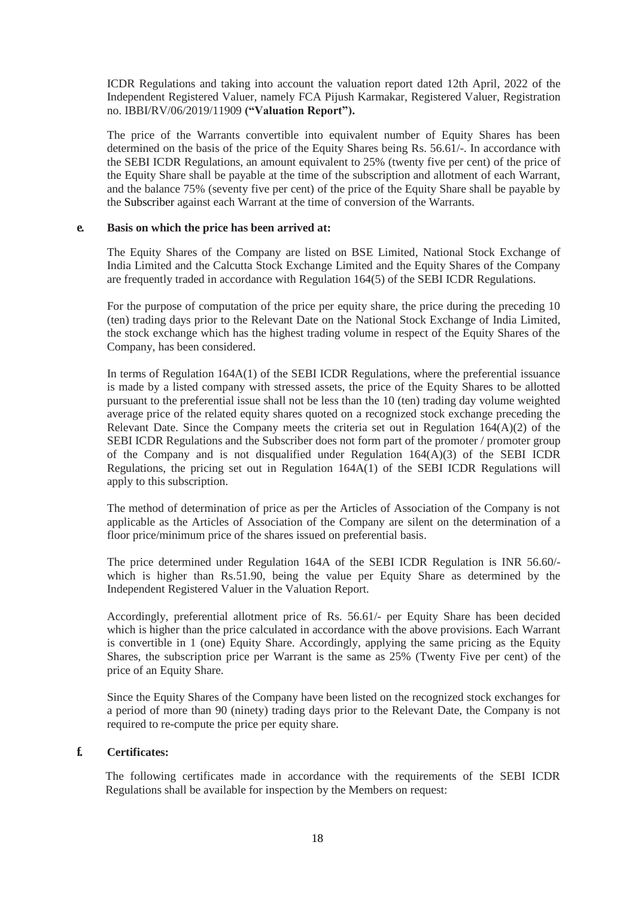ICDR Regulations and taking into account the valuation report dated 12th April, 2022 of the Independent Registered Valuer, namely FCA Pijush Karmakar, Registered Valuer, Registration no. IBBI/RV/06/2019/11909 **("Valuation Report").**

The price of the Warrants convertible into equivalent number of Equity Shares has been determined on the basis of the price of the Equity Shares being Rs. 56.61/-. In accordance with the SEBI ICDR Regulations, an amount equivalent to 25% (twenty five per cent) of the price of the Equity Share shall be payable at the time of the subscription and allotment of each Warrant, and the balance 75% (seventy five per cent) of the price of the Equity Share shall be payable by the Subscriber against each Warrant at the time of conversion of the Warrants.

#### **e. Basis on which the price has been arrived at:**

The Equity Shares of the Company are listed on BSE Limited, National Stock Exchange of India Limited and the Calcutta Stock Exchange Limited and the Equity Shares of the Company are frequently traded in accordance with Regulation 164(5) of the SEBI ICDR Regulations.

For the purpose of computation of the price per equity share, the price during the preceding 10 (ten) trading days prior to the Relevant Date on the National Stock Exchange of India Limited, the stock exchange which has the highest trading volume in respect of the Equity Shares of the Company, has been considered.

In terms of Regulation 164A(1) of the SEBI ICDR Regulations, where the preferential issuance is made by a listed company with stressed assets, the price of the Equity Shares to be allotted pursuant to the preferential issue shall not be less than the 10 (ten) trading day volume weighted average price of the related equity shares quoted on a recognized stock exchange preceding the Relevant Date. Since the Company meets the criteria set out in Regulation  $164(A)(2)$  of the SEBI ICDR Regulations and the Subscriber does not form part of the promoter / promoter group of the Company and is not disqualified under Regulation  $164(A)(3)$  of the SEBI ICDR Regulations, the pricing set out in Regulation 164A(1) of the SEBI ICDR Regulations will apply to this subscription.

The method of determination of price as per the Articles of Association of the Company is not applicable as the Articles of Association of the Company are silent on the determination of a floor price/minimum price of the shares issued on preferential basis.

The price determined under Regulation 164A of the SEBI ICDR Regulation is INR 56.60/ which is higher than Rs.51.90, being the value per Equity Share as determined by the Independent Registered Valuer in the Valuation Report.

Accordingly, preferential allotment price of Rs. 56.61/- per Equity Share has been decided which is higher than the price calculated in accordance with the above provisions. Each Warrant is convertible in 1 (one) Equity Share. Accordingly, applying the same pricing as the Equity Shares, the subscription price per Warrant is the same as 25% (Twenty Five per cent) of the price of an Equity Share.

Since the Equity Shares of the Company have been listed on the recognized stock exchanges for a period of more than 90 (ninety) trading days prior to the Relevant Date, the Company is not required to re-compute the price per equity share.

## **f. Certificates:**

The following certificates made in accordance with the requirements of the SEBI ICDR Regulations shall be available for inspection by the Members on request: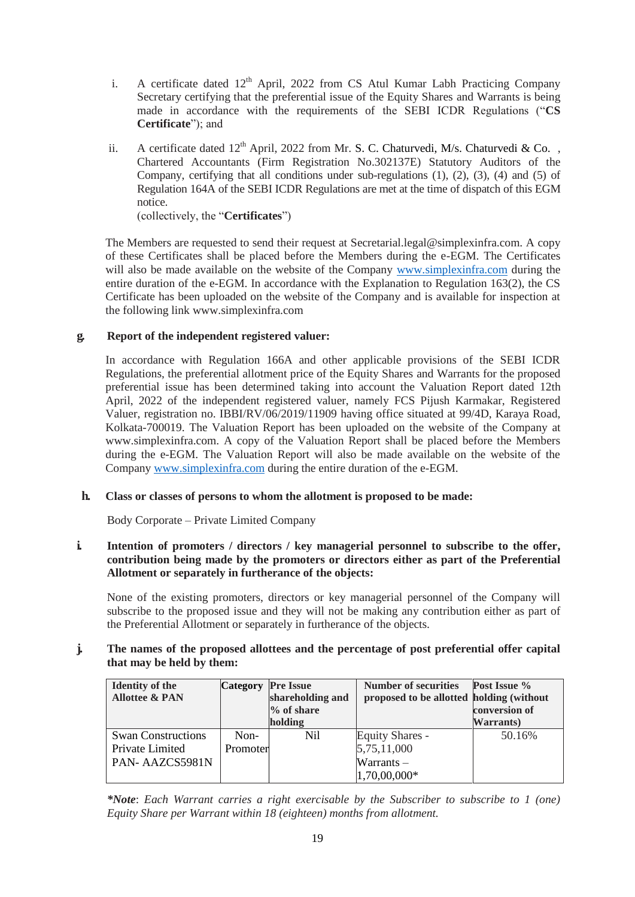- i. A certificate dated  $12<sup>th</sup>$  April, 2022 from CS Atul Kumar Labh Practicing Company Secretary certifying that the preferential issue of the Equity Shares and Warrants is being made in accordance with the requirements of the SEBI ICDR Regulations ("**CS Certificate**"); and
- ii. A certificate dated  $12<sup>th</sup>$  April, 2022 from Mr. S. C. Chaturvedi, M/s. Chaturvedi & Co., Chartered Accountants (Firm Registration No.302137E) Statutory Auditors of the Company, certifying that all conditions under sub-regulations (1), (2), (3), (4) and (5) of Regulation 164A of the SEBI ICDR Regulations are met at the time of dispatch of this EGM notice. (collectively, the "**Certificates**")

The Members are requested to send their request at Secretarial.legal@simplexinfra.com. A copy of these Certificates shall be placed before the Members during the e-EGM. The Certificates will also be made available on the website of the Company [www.simplexinfra.com](http://www.simplexinfra.com/) during the entire duration of the e-EGM. In accordance with the Explanation to Regulation 163(2), the CS Certificate has been uploaded on the website of the Company and is available for inspection at the following link www.simplexinfra.com

## **g. Report of the independent registered valuer:**

In accordance with Regulation 166A and other applicable provisions of the SEBI ICDR Regulations, the preferential allotment price of the Equity Shares and Warrants for the proposed preferential issue has been determined taking into account the Valuation Report dated 12th April, 2022 of the independent registered valuer, namely FCS Pijush Karmakar, Registered Valuer, registration no. IBBI/RV/06/2019/11909 having office situated at 99/4D, Karaya Road, Kolkata-700019. The Valuation Report has been uploaded on the website of the Company at [www.simplexinfra.com.](http://www.simplexinfra.com/) A copy of the Valuation Report shall be placed before the Members during the e-EGM. The Valuation Report will also be made available on the website of the Company [www.simplexinfra.com](http://www.simplexinfra.com/) during the entire duration of the e-EGM.

#### **h. Class or classes of persons to whom the allotment is proposed to be made:**

Body Corporate – Private Limited Company

#### **i. Intention of promoters / directors / key managerial personnel to subscribe to the offer, contribution being made by the promoters or directors either as part of the Preferential Allotment or separately in furtherance of the objects:**

None of the existing promoters, directors or key managerial personnel of the Company will subscribe to the proposed issue and they will not be making any contribution either as part of the Preferential Allotment or separately in furtherance of the objects.

## **j. The names of the proposed allottees and the percentage of post preferential offer capital that may be held by them:**

| <b>Identity of the</b>    | <b>Category</b> | <b>Pre Issue</b> | <b>Number of securities</b>              | Post Issue %  |
|---------------------------|-----------------|------------------|------------------------------------------|---------------|
| <b>Allottee &amp; PAN</b> |                 | shareholding and | proposed to be allotted holding (without |               |
|                           |                 | $%$ of share     |                                          | conversion of |
|                           |                 | holding          |                                          | Warrants)     |
| <b>Swan Constructions</b> | $Non-$          | Nil              | <b>Equity Shares -</b>                   | 50.16%        |
| Private Limited           | Promoter        |                  | 5,75,11,000                              |               |
| PAN-AAZCS5981N            |                 |                  | $Warrants -$                             |               |
|                           |                 |                  | 1,70,00,000*                             |               |

*\*Note*: *Each Warrant carries a right exercisable by the Subscriber to subscribe to 1 (one) Equity Share per Warrant within 18 (eighteen) months from allotment.*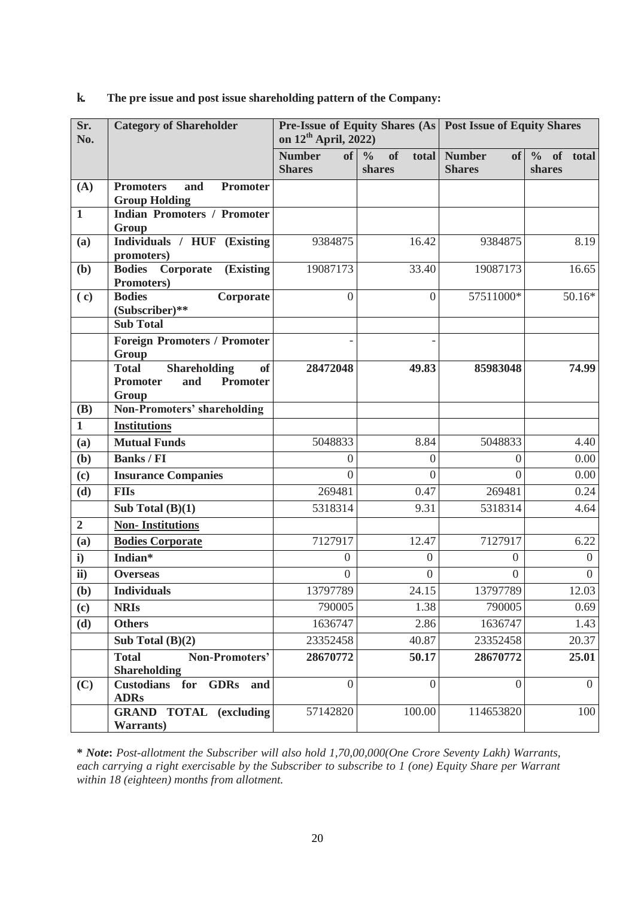| Sr.<br>No.      | <b>Category of Shareholder</b>                                | <b>Pre-Issue of Equity Shares (As   Post Issue of Equity Shares</b><br>on 12 <sup>th</sup> April, 2022) |                                           |                                      |                      |
|-----------------|---------------------------------------------------------------|---------------------------------------------------------------------------------------------------------|-------------------------------------------|--------------------------------------|----------------------|
|                 |                                                               | <b>Number</b><br><b>Shares</b>                                                                          | of $\frac{9}{6}$<br>of<br>total<br>shares | <b>Number</b><br>of<br><b>Shares</b> | % of total<br>shares |
| (A)             | <b>Promoters</b><br>and<br><b>Promoter</b>                    |                                                                                                         |                                           |                                      |                      |
|                 | <b>Group Holding</b>                                          |                                                                                                         |                                           |                                      |                      |
| $\mathbf{1}$    | <b>Indian Promoters / Promoter</b><br>Group                   |                                                                                                         |                                           |                                      |                      |
| (a)             | Individuals / HUF (Existing                                   | 9384875                                                                                                 | 16.42                                     | 9384875                              | 8.19                 |
|                 | promoters)                                                    |                                                                                                         |                                           |                                      |                      |
| (b)             | <b>Bodies</b><br>Corporate<br><b>(Existing)</b>               | 19087173                                                                                                | 33.40                                     | 19087173                             | 16.65                |
|                 | Promoters)                                                    |                                                                                                         |                                           |                                      |                      |
| (c)             | <b>Bodies</b><br>Corporate                                    | $\overline{0}$                                                                                          | $\overline{0}$                            | 57511000*                            | $50.16*$             |
|                 | (Subscriber)**<br><b>Sub Total</b>                            |                                                                                                         |                                           |                                      |                      |
|                 | <b>Foreign Promoters / Promoter</b>                           |                                                                                                         |                                           |                                      |                      |
|                 | Group                                                         |                                                                                                         |                                           |                                      |                      |
|                 | <b>Shareholding</b><br><b>of</b><br><b>Total</b>              | 28472048                                                                                                | 49.83                                     | 85983048                             | 74.99                |
|                 | <b>Promoter</b><br>Promoter<br>and                            |                                                                                                         |                                           |                                      |                      |
|                 | Group                                                         |                                                                                                         |                                           |                                      |                      |
| <b>(B)</b>      | <b>Non-Promoters' shareholding</b>                            |                                                                                                         |                                           |                                      |                      |
| $\mathbf{1}$    | <b>Institutions</b>                                           |                                                                                                         |                                           |                                      |                      |
| (a)             | <b>Mutual Funds</b>                                           | 5048833                                                                                                 | 8.84                                      | 5048833                              | 4.40                 |
| (b)             | <b>Banks / FI</b>                                             | $\boldsymbol{0}$                                                                                        | $\overline{0}$                            | $\Omega$                             | 0.00                 |
| (c)             | <b>Insurance Companies</b>                                    | $\overline{0}$                                                                                          | $\overline{0}$                            | $\Omega$                             | 0.00                 |
| (d)             | <b>FIIs</b>                                                   | 269481                                                                                                  | 0.47                                      | 269481                               | 0.24                 |
|                 | Sub Total $(B)(1)$                                            | 5318314                                                                                                 | 9.31                                      | 5318314                              | 4.64                 |
| $\overline{2}$  | <b>Non-Institutions</b>                                       |                                                                                                         |                                           |                                      |                      |
| (a)             | <b>Bodies Corporate</b>                                       | 7127917                                                                                                 | 12.47                                     | 7127917                              | 6.22                 |
| $\mathbf{i}$    | Indian*                                                       | $\boldsymbol{0}$                                                                                        | $\overline{0}$                            | $\overline{0}$                       | $\overline{0}$       |
| $\overline{ii}$ | <b>Overseas</b>                                               | $\overline{0}$                                                                                          | $\overline{0}$                            | $\theta$                             | $\overline{0}$       |
| (b)             | <b>Individuals</b>                                            | 13797789                                                                                                | 24.15                                     | 13797789                             | 12.03                |
| (c)             | <b>NRIs</b>                                                   | 790005                                                                                                  | 1.38                                      | 790005                               | 0.69                 |
| (d)             | <b>Others</b>                                                 | 1636747                                                                                                 | 2.86                                      | 1636747                              | 1.43                 |
|                 | Sub Total $(B)(2)$                                            | 23352458                                                                                                | 40.87                                     | 23352458                             | 20.37                |
|                 | <b>Total</b><br>Non-Promoters'<br><b>Shareholding</b>         | 28670772                                                                                                | 50.17                                     | 28670772                             | 25.01                |
| (C)             | <b>Custodians</b><br>for<br><b>GDRs</b><br>and<br><b>ADRs</b> | $\theta$                                                                                                | $\mathbf{0}$                              | $\overline{0}$                       | $\overline{0}$       |
|                 | <b>GRAND TOTAL (excluding</b><br><b>Warrants</b> )            | 57142820                                                                                                | 100.00                                    | 114653820                            | 100                  |

## **k. The pre issue and post issue shareholding pattern of the Company:**

**\*** *Note***:** *Post-allotment the Subscriber will also hold 1,70,00,000(One Crore Seventy Lakh) Warrants, each carrying a right exercisable by the Subscriber to subscribe to 1 (one) Equity Share per Warrant within 18 (eighteen) months from allotment.*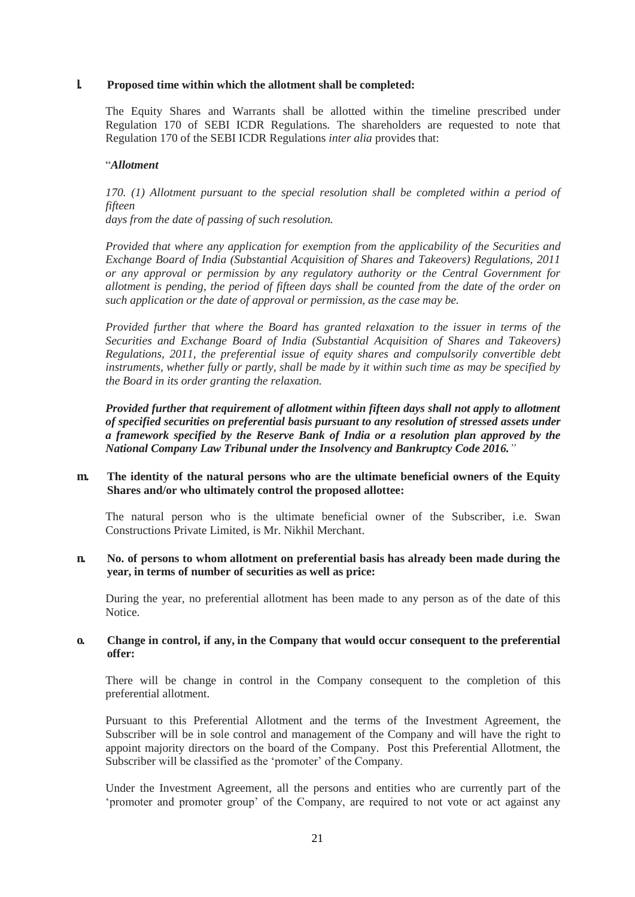#### **l. Proposed time within which the allotment shall be completed:**

The Equity Shares and Warrants shall be allotted within the timeline prescribed under Regulation 170 of SEBI ICDR Regulations. The shareholders are requested to note that Regulation 170 of the SEBI ICDR Regulations *inter alia* provides that:

#### "*Allotment*

170. (1) Allotment pursuant to the special resolution shall be completed within a period of *fifteen* 

*days from the date of passing of such resolution.*

*Provided that where any application for exemption from the applicability of the Securities and Exchange Board of India (Substantial Acquisition of Shares and Takeovers) Regulations, 2011 or any approval or permission by any regulatory authority or the Central Government for allotment is pending, the period of fifteen days shall be counted from the date of the order on such application or the date of approval or permission, as the case may be.*

*Provided further that where the Board has granted relaxation to the issuer in terms of the Securities and Exchange Board of India (Substantial Acquisition of Shares and Takeovers) Regulations, 2011, the preferential issue of equity shares and compulsorily convertible debt instruments, whether fully or partly, shall be made by it within such time as may be specified by the Board in its order granting the relaxation.*

*Provided further that requirement of allotment within fifteen days shall not apply to allotment of specified securities on preferential basis pursuant to any resolution of stressed assets under a framework specified by the Reserve Bank of India or a resolution plan approved by the National Company Law Tribunal under the Insolvency and Bankruptcy Code 2016."*

#### **m. The identity of the natural persons who are the ultimate beneficial owners of the Equity Shares and/or who ultimately control the proposed allottee:**

The natural person who is the ultimate beneficial owner of the Subscriber, i.e. Swan Constructions Private Limited, is Mr. Nikhil Merchant.

#### **n. No. of persons to whom allotment on preferential basis has already been made during the year, in terms of number of securities as well as price:**

During the year, no preferential allotment has been made to any person as of the date of this Notice.

#### **o. Change in control, if any, in the Company that would occur consequent to the preferential offer:**

There will be change in control in the Company consequent to the completion of this preferential allotment.

Pursuant to this Preferential Allotment and the terms of the Investment Agreement, the Subscriber will be in sole control and management of the Company and will have the right to appoint majority directors on the board of the Company. Post this Preferential Allotment, the Subscriber will be classified as the 'promoter' of the Company.

Under the Investment Agreement, all the persons and entities who are currently part of the "promoter and promoter group" of the Company, are required to not vote or act against any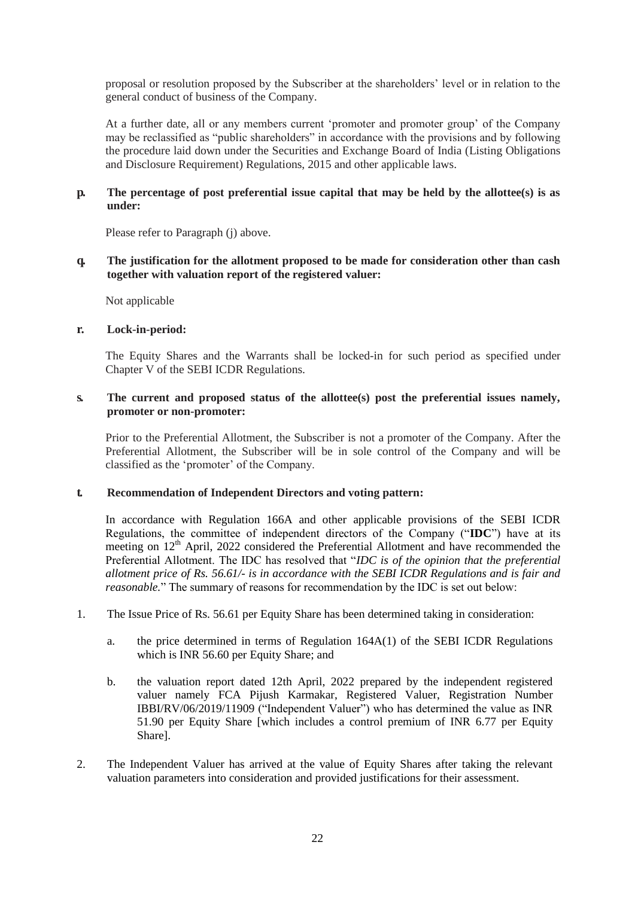proposal or resolution proposed by the Subscriber at the shareholders" level or in relation to the general conduct of business of the Company.

At a further date, all or any members current "promoter and promoter group" of the Company may be reclassified as "public shareholders" in accordance with the provisions and by following the procedure laid down under the Securities and Exchange Board of India (Listing Obligations and Disclosure Requirement) Regulations, 2015 and other applicable laws.

## **p. The percentage of post preferential issue capital that may be held by the allottee(s) is as under:**

Please refer to Paragraph (j) above.

#### **q. The justification for the allotment proposed to be made for consideration other than cash together with valuation report of the registered valuer:**

Not applicable

#### **r. Lock-in-period:**

The Equity Shares and the Warrants shall be locked-in for such period as specified under Chapter V of the SEBI ICDR Regulations.

#### **s. The current and proposed status of the allottee(s) post the preferential issues namely, promoter or non-promoter:**

Prior to the Preferential Allotment, the Subscriber is not a promoter of the Company. After the Preferential Allotment, the Subscriber will be in sole control of the Company and will be classified as the "promoter" of the Company.

#### **t. Recommendation of Independent Directors and voting pattern:**

In accordance with Regulation 166A and other applicable provisions of the SEBI ICDR Regulations, the committee of independent directors of the Company ("**IDC**") have at its meeting on 12<sup>th</sup> April, 2022 considered the Preferential Allotment and have recommended the Preferential Allotment. The IDC has resolved that "*IDC is of the opinion that the preferential allotment price of Rs. 56.61/- is in accordance with the SEBI ICDR Regulations and is fair and reasonable.*" The summary of reasons for recommendation by the IDC is set out below:

- 1. The Issue Price of Rs. 56.61 per Equity Share has been determined taking in consideration:
	- a. the price determined in terms of Regulation 164A(1) of the SEBI ICDR Regulations which is INR 56.60 per Equity Share; and
	- b. the valuation report dated 12th April, 2022 prepared by the independent registered valuer namely FCA Pijush Karmakar, Registered Valuer, Registration Number IBBI/RV/06/2019/11909 ("Independent Valuer") who has determined the value as INR 51.90 per Equity Share [which includes a control premium of INR 6.77 per Equity Share].
- 2. The Independent Valuer has arrived at the value of Equity Shares after taking the relevant valuation parameters into consideration and provided justifications for their assessment.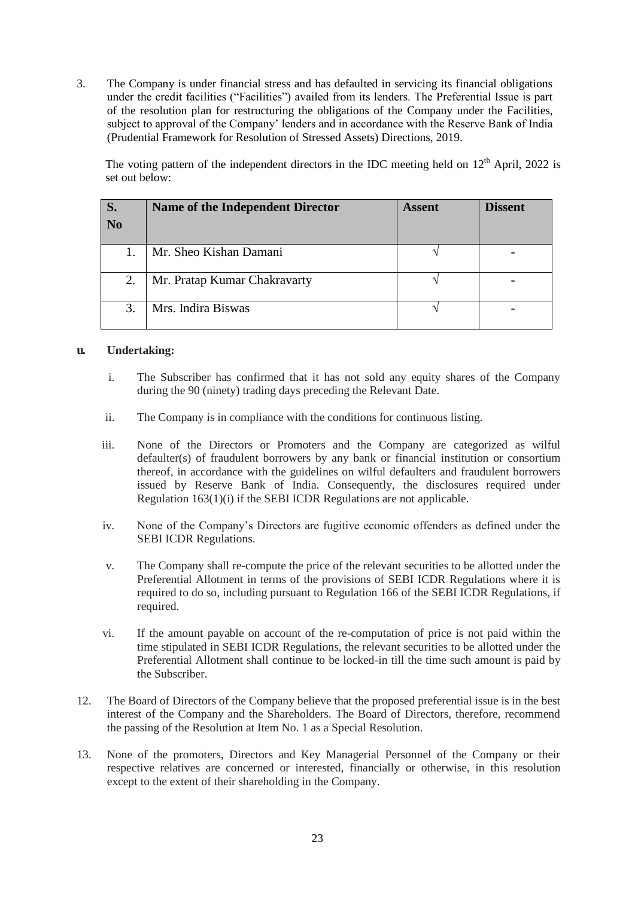3. The Company is under financial stress and has defaulted in servicing its financial obligations under the credit facilities ("Facilities") availed from its lenders. The Preferential Issue is part of the resolution plan for restructuring the obligations of the Company under the Facilities, subject to approval of the Company' lenders and in accordance with the Reserve Bank of India (Prudential Framework for Resolution of Stressed Assets) Directions, 2019.

The voting pattern of the independent directors in the IDC meeting held on  $12<sup>th</sup>$  April, 2022 is set out below:

| S.<br>N <sub>0</sub> | <b>Name of the Independent Director</b> | <b>Assent</b> | <b>Dissent</b> |
|----------------------|-----------------------------------------|---------------|----------------|
|                      | Mr. Sheo Kishan Damani                  |               |                |
| 2.                   | Mr. Pratap Kumar Chakravarty            |               |                |
| 3.                   | Mrs. Indira Biswas                      |               |                |

#### **u. Undertaking:**

- i. The Subscriber has confirmed that it has not sold any equity shares of the Company during the 90 (ninety) trading days preceding the Relevant Date.
- ii. The Company is in compliance with the conditions for continuous listing.
- iii. None of the Directors or Promoters and the Company are categorized as wilful defaulter(s) of fraudulent borrowers by any bank or financial institution or consortium thereof, in accordance with the guidelines on wilful defaulters and fraudulent borrowers issued by Reserve Bank of India. Consequently, the disclosures required under Regulation 163(1)(i) if the SEBI ICDR Regulations are not applicable.
- iv. None of the Company"s Directors are fugitive economic offenders as defined under the SEBI ICDR Regulations.
- v. The Company shall re-compute the price of the relevant securities to be allotted under the Preferential Allotment in terms of the provisions of SEBI ICDR Regulations where it is required to do so, including pursuant to Regulation 166 of the SEBI ICDR Regulations, if required.
- vi. If the amount payable on account of the re-computation of price is not paid within the time stipulated in SEBI ICDR Regulations, the relevant securities to be allotted under the Preferential Allotment shall continue to be locked-in till the time such amount is paid by the Subscriber.
- 12. The Board of Directors of the Company believe that the proposed preferential issue is in the best interest of the Company and the Shareholders. The Board of Directors, therefore, recommend the passing of the Resolution at Item No. 1 as a Special Resolution.
- 13. None of the promoters, Directors and Key Managerial Personnel of the Company or their respective relatives are concerned or interested, financially or otherwise, in this resolution except to the extent of their shareholding in the Company.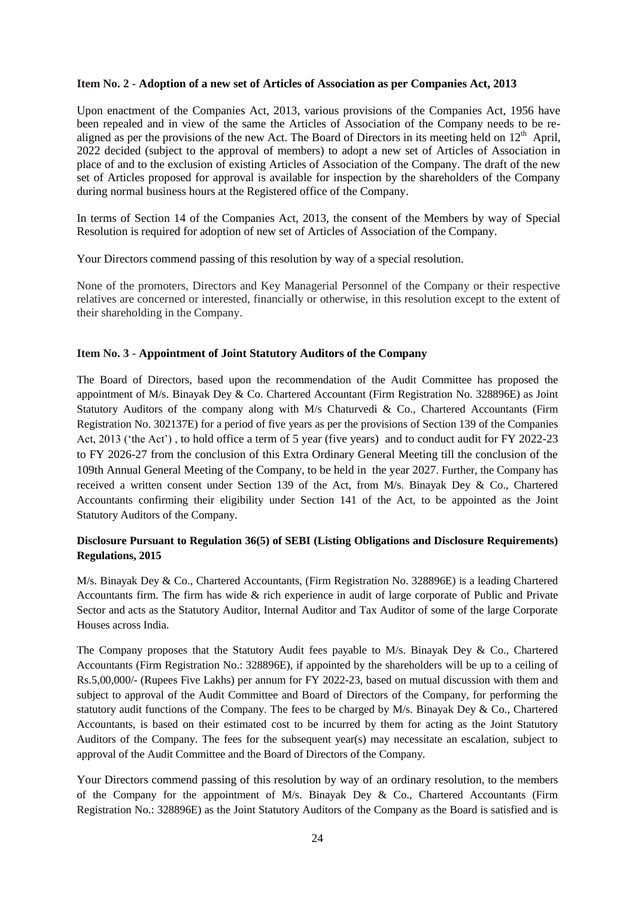#### **Item No. 2 - Adoption of a new set of Articles of Association as per Companies Act, 2013**

Upon enactment of the Companies Act, 2013, various provisions of the Companies Act, 1956 have been repealed and in view of the same the Articles of Association of the Company needs to be realigned as per the provisions of the new Act. The Board of Directors in its meeting held on  $12<sup>th</sup>$  April, 2022 decided (subject to the approval of members) to adopt a new set of Articles of Association in place of and to the exclusion of existing Articles of Association of the Company. The draft of the new set of Articles proposed for approval is available for inspection by the shareholders of the Company during normal business hours at the Registered office of the Company.

In terms of Section 14 of the Companies Act, 2013, the consent of the Members by way of Special Resolution is required for adoption of new set of Articles of Association of the Company.

Your Directors commend passing of this resolution by way of a special resolution.

None of the promoters, Directors and Key Managerial Personnel of the Company or their respective relatives are concerned or interested, financially or otherwise, in this resolution except to the extent of their shareholding in the Company.

#### **Item No. 3 - Appointment of Joint Statutory Auditors of the Company**

The Board of Directors, based upon the recommendation of the Audit Committee has proposed the appointment of M/s. Binayak Dey & Co. Chartered Accountant (Firm Registration No. 328896E) as Joint Statutory Auditors of the company along with M/s Chaturvedi & Co., Chartered Accountants (Firm Registration No. 302137E) for a period of five years as per the provisions of Section 139 of the Companies Act, 2013 ('the Act'), to hold office a term of 5 year (five years) and to conduct audit for FY 2022-23 to FY 2026-27 from the conclusion of this Extra Ordinary General Meeting till the conclusion of the 109th Annual General Meeting of the Company, to be held in the year 2027. Further, the Company has received a written consent under Section 139 of the Act, from M/s. Binayak Dey & Co., Chartered Accountants confirming their eligibility under Section 141 of the Act, to be appointed as the Joint Statutory Auditors of the Company.

## **Disclosure Pursuant to Regulation 36(5) of SEBI (Listing Obligations and Disclosure Requirements) Regulations, 2015**

M/s. Binayak Dey & Co., Chartered Accountants, (Firm Registration No. 328896E) is a leading Chartered Accountants firm. The firm has wide & rich experience in audit of large corporate of Public and Private Sector and acts as the Statutory Auditor, Internal Auditor and Tax Auditor of some of the large Corporate Houses across India.

The Company proposes that the Statutory Audit fees payable to M/s. Binayak Dey & Co., Chartered Accountants (Firm Registration No.: 328896E), if appointed by the shareholders will be up to a ceiling of Rs.5,00,000/- (Rupees Five Lakhs) per annum for FY 2022-23, based on mutual discussion with them and subject to approval of the Audit Committee and Board of Directors of the Company, for performing the statutory audit functions of the Company. The fees to be charged by  $M/s$ . Binayak Dey & Co., Chartered Accountants, is based on their estimated cost to be incurred by them for acting as the Joint Statutory Auditors of the Company. The fees for the subsequent year(s) may necessitate an escalation, subject to approval of the Audit Committee and the Board of Directors of the Company.

Your Directors commend passing of this resolution by way of an ordinary resolution, to the members of the Company for the appointment of M/s. Binayak Dey & Co., Chartered Accountants (Firm Registration No.: 328896E) as the Joint Statutory Auditors of the Company as the Board is satisfied and is